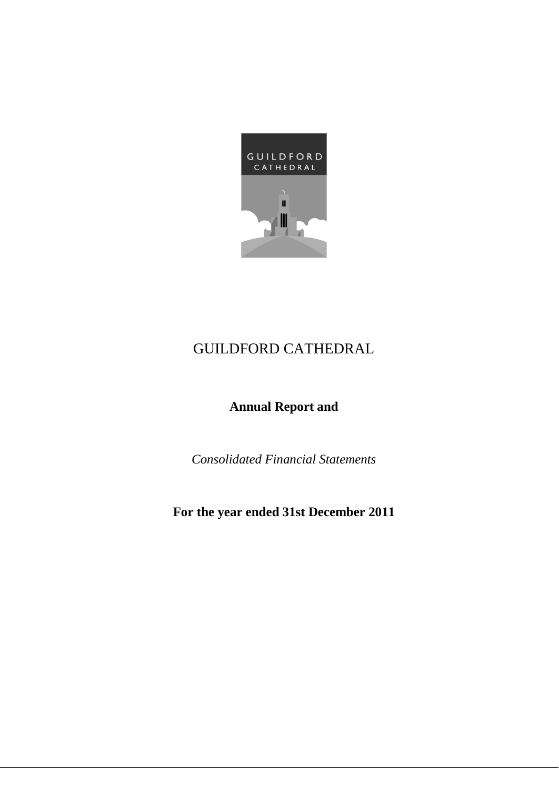

# **Annual Report and**

*Consolidated Financial Statements*

# **For the year ended 31st December 2011**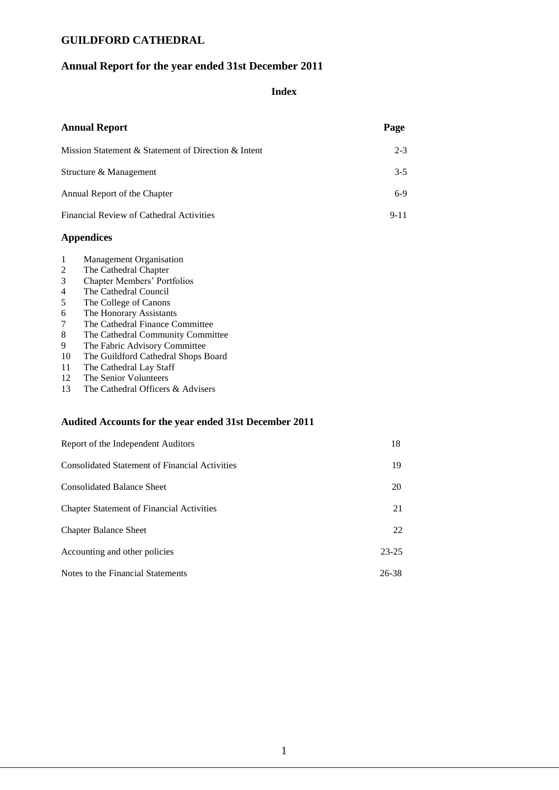### **Annual Report for the year ended 31st December 2011**

### **Index**

| <b>Annual Report</b>                                | Page     |
|-----------------------------------------------------|----------|
| Mission Statement & Statement of Direction & Intent | $2 - 3$  |
| Structure & Management                              | $3-5$    |
| Annual Report of the Chapter                        | $6-9$    |
| Financial Review of Cathedral Activities            | $9 - 11$ |

#### **Appendices**

- 1 Management Organisation
- 2 The Cathedral Chapter
- 3 Chapter Members' Portfolios
- 4 The Cathedral Council
- 5 The College of Canons
- 6 The Honorary Assistants
- 7 The Cathedral Finance Committee
- 8 The Cathedral Community Committee<br>9 The Fabric Advisory Committee
- 9 The Fabric Advisory Committee<br>10 The Guildford Cathedral Shops E
- The Guildford Cathedral Shops Board
- 11 The Cathedral Lay Staff<br>12 The Senior Volunteers
- 12 The Senior Volunteers<br>13 The Cathedral Officers
- The Cathedral Officers & Advisers

#### **Audited Accounts for the year ended 31st December 2011**

| Report of the Independent Auditors                    | 18        |
|-------------------------------------------------------|-----------|
| <b>Consolidated Statement of Financial Activities</b> | 19        |
| <b>Consolidated Balance Sheet</b>                     | 20        |
| <b>Chapter Statement of Financial Activities</b>      | 21        |
| <b>Chapter Balance Sheet</b>                          | 22        |
| Accounting and other policies                         | $23 - 25$ |
| Notes to the Financial Statements                     | 26-38     |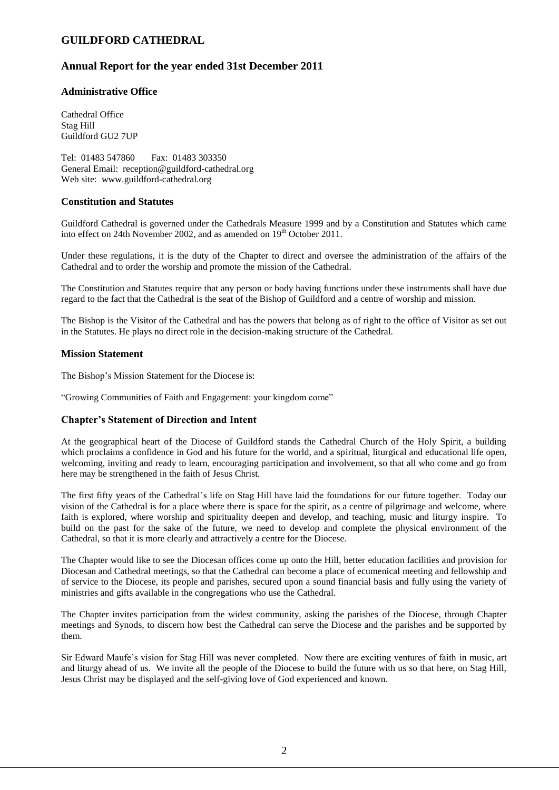### **Annual Report for the year ended 31st December 2011**

### **Administrative Office**

Cathedral Office Stag Hill Guildford GU2 7UP

Tel: 01483 547860 Fax: 01483 303350 General Email: reception@guildford-cathedral.org Web site: www.guildford-cathedral.org

#### **Constitution and Statutes**

Guildford Cathedral is governed under the Cathedrals Measure 1999 and by a Constitution and Statutes which came into effect on 24th November 2002, and as amended on  $19<sup>th</sup>$  October 2011.

Under these regulations, it is the duty of the Chapter to direct and oversee the administration of the affairs of the Cathedral and to order the worship and promote the mission of the Cathedral.

The Constitution and Statutes require that any person or body having functions under these instruments shall have due regard to the fact that the Cathedral is the seat of the Bishop of Guildford and a centre of worship and mission.

The Bishop is the Visitor of the Cathedral and has the powers that belong as of right to the office of Visitor as set out in the Statutes. He plays no direct role in the decision-making structure of the Cathedral.

#### **Mission Statement**

The Bishop's Mission Statement for the Diocese is:

"Growing Communities of Faith and Engagement: your kingdom come"

#### **Chapter's Statement of Direction and Intent**

At the geographical heart of the Diocese of Guildford stands the Cathedral Church of the Holy Spirit, a building which proclaims a confidence in God and his future for the world, and a spiritual, liturgical and educational life open, welcoming, inviting and ready to learn, encouraging participation and involvement, so that all who come and go from here may be strengthened in the faith of Jesus Christ.

The first fifty years of the Cathedral's life on Stag Hill have laid the foundations for our future together. Today our vision of the Cathedral is for a place where there is space for the spirit, as a centre of pilgrimage and welcome, where faith is explored, where worship and spirituality deepen and develop, and teaching, music and liturgy inspire. To build on the past for the sake of the future, we need to develop and complete the physical environment of the Cathedral, so that it is more clearly and attractively a centre for the Diocese.

The Chapter would like to see the Diocesan offices come up onto the Hill, better education facilities and provision for Diocesan and Cathedral meetings, so that the Cathedral can become a place of ecumenical meeting and fellowship and of service to the Diocese, its people and parishes, secured upon a sound financial basis and fully using the variety of ministries and gifts available in the congregations who use the Cathedral.

The Chapter invites participation from the widest community, asking the parishes of the Diocese, through Chapter meetings and Synods, to discern how best the Cathedral can serve the Diocese and the parishes and be supported by them.

Sir Edward Maufe's vision for Stag Hill was never completed. Now there are exciting ventures of faith in music, art and liturgy ahead of us. We invite all the people of the Diocese to build the future with us so that here, on Stag Hill, Jesus Christ may be displayed and the self-giving love of God experienced and known.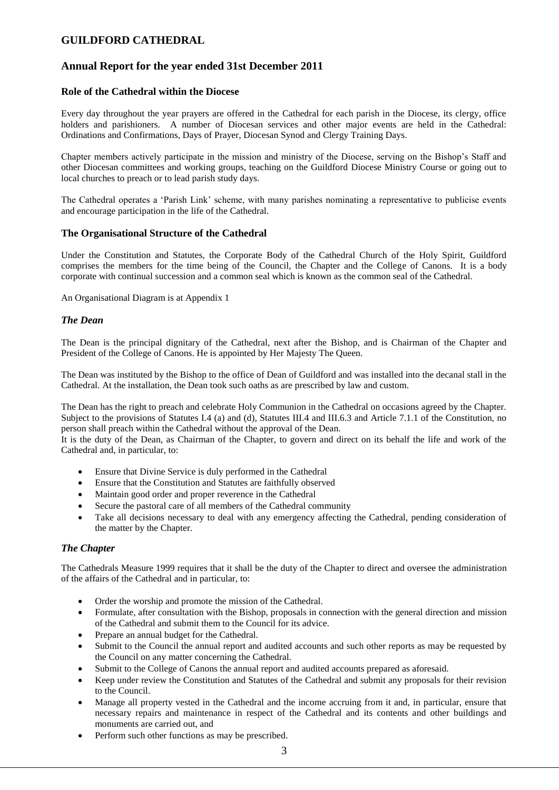### **Annual Report for the year ended 31st December 2011**

### **Role of the Cathedral within the Diocese**

Every day throughout the year prayers are offered in the Cathedral for each parish in the Diocese, its clergy, office holders and parishioners. A number of Diocesan services and other major events are held in the Cathedral: Ordinations and Confirmations, Days of Prayer, Diocesan Synod and Clergy Training Days.

Chapter members actively participate in the mission and ministry of the Diocese, serving on the Bishop's Staff and other Diocesan committees and working groups, teaching on the Guildford Diocese Ministry Course or going out to local churches to preach or to lead parish study days.

The Cathedral operates a 'Parish Link' scheme, with many parishes nominating a representative to publicise events and encourage participation in the life of the Cathedral.

#### **The Organisational Structure of the Cathedral**

Under the Constitution and Statutes, the Corporate Body of the Cathedral Church of the Holy Spirit, Guildford comprises the members for the time being of the Council, the Chapter and the College of Canons. It is a body corporate with continual succession and a common seal which is known as the common seal of the Cathedral.

An Organisational Diagram is at Appendix 1

#### *The Dean*

The Dean is the principal dignitary of the Cathedral, next after the Bishop, and is Chairman of the Chapter and President of the College of Canons. He is appointed by Her Majesty The Queen.

The Dean was instituted by the Bishop to the office of Dean of Guildford and was installed into the decanal stall in the Cathedral. At the installation, the Dean took such oaths as are prescribed by law and custom.

The Dean has the right to preach and celebrate Holy Communion in the Cathedral on occasions agreed by the Chapter. Subject to the provisions of Statutes I.4 (a) and (d), Statutes III.4 and III.6.3 and Article 7.1.1 of the Constitution, no person shall preach within the Cathedral without the approval of the Dean.

It is the duty of the Dean, as Chairman of the Chapter, to govern and direct on its behalf the life and work of the Cathedral and, in particular, to:

- Ensure that Divine Service is duly performed in the Cathedral
- Ensure that the Constitution and Statutes are faithfully observed
- Maintain good order and proper reverence in the Cathedral
- Secure the pastoral care of all members of the Cathedral community
- Take all decisions necessary to deal with any emergency affecting the Cathedral, pending consideration of the matter by the Chapter.

#### *The Chapter*

The Cathedrals Measure 1999 requires that it shall be the duty of the Chapter to direct and oversee the administration of the affairs of the Cathedral and in particular, to:

- Order the worship and promote the mission of the Cathedral.
- Formulate, after consultation with the Bishop, proposals in connection with the general direction and mission of the Cathedral and submit them to the Council for its advice.
- Prepare an annual budget for the Cathedral.
- Submit to the Council the annual report and audited accounts and such other reports as may be requested by the Council on any matter concerning the Cathedral.
- Submit to the College of Canons the annual report and audited accounts prepared as aforesaid.
- Keep under review the Constitution and Statutes of the Cathedral and submit any proposals for their revision to the Council.
- Manage all property vested in the Cathedral and the income accruing from it and, in particular, ensure that necessary repairs and maintenance in respect of the Cathedral and its contents and other buildings and monuments are carried out, and
- Perform such other functions as may be prescribed.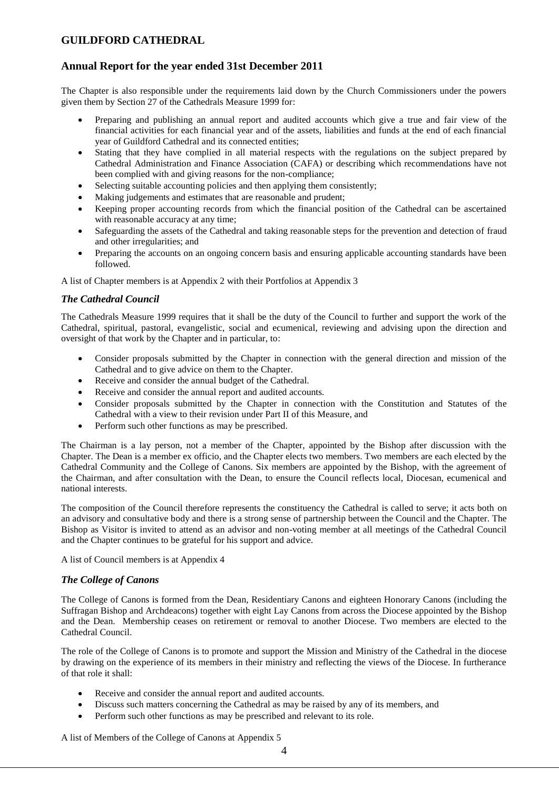### **Annual Report for the year ended 31st December 2011**

The Chapter is also responsible under the requirements laid down by the Church Commissioners under the powers given them by Section 27 of the Cathedrals Measure 1999 for:

- Preparing and publishing an annual report and audited accounts which give a true and fair view of the financial activities for each financial year and of the assets, liabilities and funds at the end of each financial year of Guildford Cathedral and its connected entities;
- Stating that they have complied in all material respects with the regulations on the subject prepared by Cathedral Administration and Finance Association (CAFA) or describing which recommendations have not been complied with and giving reasons for the non-compliance;
- Selecting suitable accounting policies and then applying them consistently;
- Making judgements and estimates that are reasonable and prudent;
- Keeping proper accounting records from which the financial position of the Cathedral can be ascertained with reasonable accuracy at any time;
- Safeguarding the assets of the Cathedral and taking reasonable steps for the prevention and detection of fraud and other irregularities; and
- Preparing the accounts on an ongoing concern basis and ensuring applicable accounting standards have been followed.

A list of Chapter members is at Appendix 2 with their Portfolios at Appendix 3

#### *The Cathedral Council*

The Cathedrals Measure 1999 requires that it shall be the duty of the Council to further and support the work of the Cathedral, spiritual, pastoral, evangelistic, social and ecumenical, reviewing and advising upon the direction and oversight of that work by the Chapter and in particular, to:

- Consider proposals submitted by the Chapter in connection with the general direction and mission of the Cathedral and to give advice on them to the Chapter.
- Receive and consider the annual budget of the Cathedral.
- Receive and consider the annual report and audited accounts.
- Consider proposals submitted by the Chapter in connection with the Constitution and Statutes of the Cathedral with a view to their revision under Part II of this Measure, and
- Perform such other functions as may be prescribed.

The Chairman is a lay person, not a member of the Chapter, appointed by the Bishop after discussion with the Chapter. The Dean is a member ex officio, and the Chapter elects two members. Two members are each elected by the Cathedral Community and the College of Canons. Six members are appointed by the Bishop, with the agreement of the Chairman, and after consultation with the Dean, to ensure the Council reflects local, Diocesan, ecumenical and national interests.

The composition of the Council therefore represents the constituency the Cathedral is called to serve; it acts both on an advisory and consultative body and there is a strong sense of partnership between the Council and the Chapter. The Bishop as Visitor is invited to attend as an advisor and non-voting member at all meetings of the Cathedral Council and the Chapter continues to be grateful for his support and advice.

A list of Council members is at Appendix 4

#### *The College of Canons*

The College of Canons is formed from the Dean, Residentiary Canons and eighteen Honorary Canons (including the Suffragan Bishop and Archdeacons) together with eight Lay Canons from across the Diocese appointed by the Bishop and the Dean. Membership ceases on retirement or removal to another Diocese. Two members are elected to the Cathedral Council.

The role of the College of Canons is to promote and support the Mission and Ministry of the Cathedral in the diocese by drawing on the experience of its members in their ministry and reflecting the views of the Diocese. In furtherance of that role it shall:

- Receive and consider the annual report and audited accounts.
- Discuss such matters concerning the Cathedral as may be raised by any of its members, and
- Perform such other functions as may be prescribed and relevant to its role.

A list of Members of the College of Canons at Appendix 5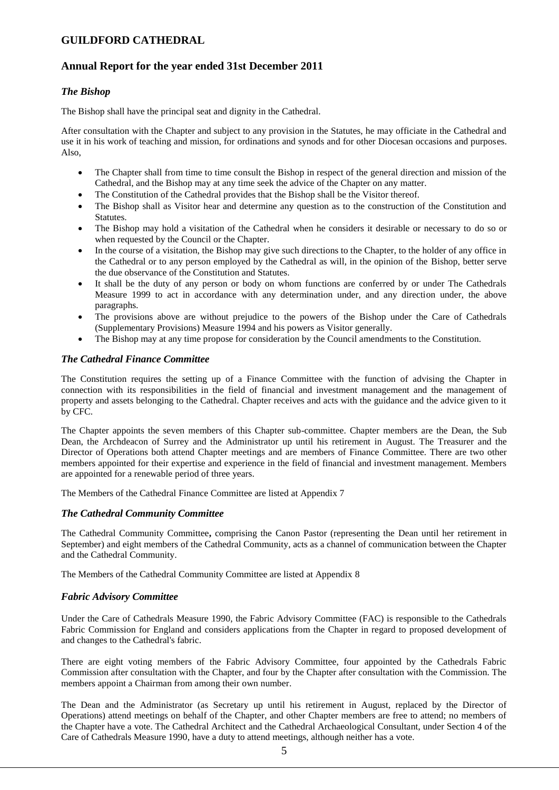### **Annual Report for the year ended 31st December 2011**

#### *The Bishop*

The Bishop shall have the principal seat and dignity in the Cathedral.

After consultation with the Chapter and subject to any provision in the Statutes, he may officiate in the Cathedral and use it in his work of teaching and mission, for ordinations and synods and for other Diocesan occasions and purposes. Also,

- The Chapter shall from time to time consult the Bishop in respect of the general direction and mission of the Cathedral, and the Bishop may at any time seek the advice of the Chapter on any matter.
- The Constitution of the Cathedral provides that the Bishop shall be the Visitor thereof.
- The Bishop shall as Visitor hear and determine any question as to the construction of the Constitution and Statutes.
- The Bishop may hold a visitation of the Cathedral when he considers it desirable or necessary to do so or when requested by the Council or the Chapter.
- In the course of a visitation, the Bishop may give such directions to the Chapter, to the holder of any office in the Cathedral or to any person employed by the Cathedral as will, in the opinion of the Bishop, better serve the due observance of the Constitution and Statutes.
- It shall be the duty of any person or body on whom functions are conferred by or under The Cathedrals Measure 1999 to act in accordance with any determination under, and any direction under, the above paragraphs.
- The provisions above are without prejudice to the powers of the Bishop under the Care of Cathedrals (Supplementary Provisions) Measure 1994 and his powers as Visitor generally.
- The Bishop may at any time propose for consideration by the Council amendments to the Constitution.

#### *The Cathedral Finance Committee*

The Constitution requires the setting up of a Finance Committee with the function of advising the Chapter in connection with its responsibilities in the field of financial and investment management and the management of property and assets belonging to the Cathedral. Chapter receives and acts with the guidance and the advice given to it by CFC.

The Chapter appoints the seven members of this Chapter sub-committee. Chapter members are the Dean, the Sub Dean, the Archdeacon of Surrey and the Administrator up until his retirement in August. The Treasurer and the Director of Operations both attend Chapter meetings and are members of Finance Committee. There are two other members appointed for their expertise and experience in the field of financial and investment management. Members are appointed for a renewable period of three years.

The Members of the Cathedral Finance Committee are listed at Appendix 7

#### *The Cathedral Community Committee*

The Cathedral Community Committee**,** comprising the Canon Pastor (representing the Dean until her retirement in September) and eight members of the Cathedral Community, acts as a channel of communication between the Chapter and the Cathedral Community.

The Members of the Cathedral Community Committee are listed at Appendix 8

#### *Fabric Advisory Committee*

Under the Care of Cathedrals Measure 1990, the Fabric Advisory Committee (FAC) is responsible to the Cathedrals Fabric Commission for England and considers applications from the Chapter in regard to proposed development of and changes to the Cathedral's fabric.

There are eight voting members of the Fabric Advisory Committee, four appointed by the Cathedrals Fabric Commission after consultation with the Chapter, and four by the Chapter after consultation with the Commission. The members appoint a Chairman from among their own number.

The Dean and the Administrator (as Secretary up until his retirement in August, replaced by the Director of Operations) attend meetings on behalf of the Chapter, and other Chapter members are free to attend; no members of the Chapter have a vote. The Cathedral Architect and the Cathedral Archaeological Consultant, under Section 4 of the Care of Cathedrals Measure 1990, have a duty to attend meetings, although neither has a vote.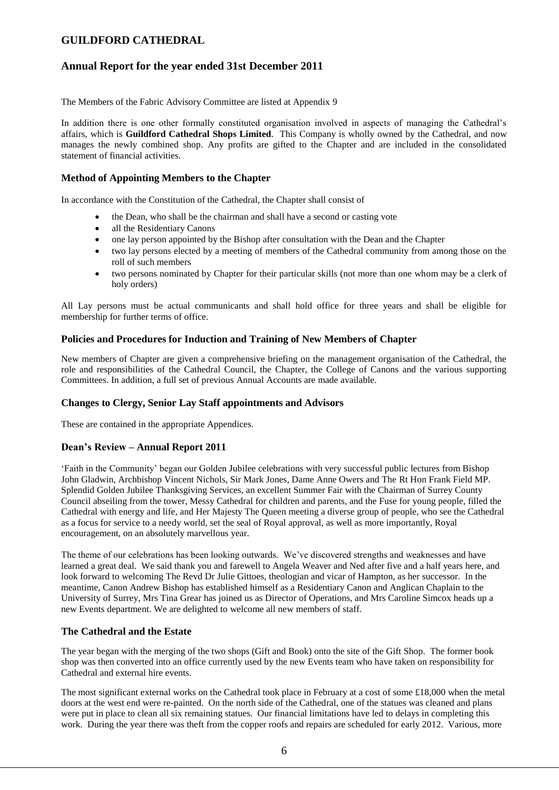### **Annual Report for the year ended 31st December 2011**

The Members of the Fabric Advisory Committee are listed at Appendix 9

In addition there is one other formally constituted organisation involved in aspects of managing the Cathedral's affairs, which is **Guildford Cathedral Shops Limited**. This Company is wholly owned by the Cathedral, and now manages the newly combined shop. Any profits are gifted to the Chapter and are included in the consolidated statement of financial activities.

### **Method of Appointing Members to the Chapter**

In accordance with the Constitution of the Cathedral, the Chapter shall consist of

- the Dean, who shall be the chairman and shall have a second or casting vote
- all the Residentiary Canons
- one lay person appointed by the Bishop after consultation with the Dean and the Chapter
- two lay persons elected by a meeting of members of the Cathedral community from among those on the roll of such members
- two persons nominated by Chapter for their particular skills (not more than one whom may be a clerk of holy orders)

All Lay persons must be actual communicants and shall hold office for three years and shall be eligible for membership for further terms of office.

### **Policies and Procedures for Induction and Training of New Members of Chapter**

New members of Chapter are given a comprehensive briefing on the management organisation of the Cathedral, the role and responsibilities of the Cathedral Council, the Chapter, the College of Canons and the various supporting Committees. In addition, a full set of previous Annual Accounts are made available.

#### **Changes to Clergy, Senior Lay Staff appointments and Advisors**

These are contained in the appropriate Appendices.

#### **Dean's Review – Annual Report 2011**

'Faith in the Community' began our Golden Jubilee celebrations with very successful public lectures from Bishop John Gladwin, Archbishop Vincent Nichols, Sir Mark Jones, Dame Anne Owers and The Rt Hon Frank Field MP. Splendid Golden Jubilee Thanksgiving Services, an excellent Summer Fair with the Chairman of Surrey County Council abseiling from the tower, Messy Cathedral for children and parents, and the Fuse for young people, filled the Cathedral with energy and life, and Her Majesty The Queen meeting a diverse group of people, who see the Cathedral as a focus for service to a needy world, set the seal of Royal approval, as well as more importantly, Royal encouragement, on an absolutely marvellous year.

The theme of our celebrations has been looking outwards. We've discovered strengths and weaknesses and have learned a great deal. We said thank you and farewell to Angela Weaver and Ned after five and a half years here, and look forward to welcoming The Revd Dr Julie Gittoes, theologian and vicar of Hampton, as her successor. In the meantime, Canon Andrew Bishop has established himself as a Residentiary Canon and Anglican Chaplain to the University of Surrey, Mrs Tina Grear has joined us as Director of Operations, and Mrs Caroline Simcox heads up a new Events department. We are delighted to welcome all new members of staff.

#### **The Cathedral and the Estate**

The year began with the merging of the two shops (Gift and Book) onto the site of the Gift Shop. The former book shop was then converted into an office currently used by the new Events team who have taken on responsibility for Cathedral and external hire events.

The most significant external works on the Cathedral took place in February at a cost of some £18,000 when the metal doors at the west end were re-painted. On the north side of the Cathedral, one of the statues was cleaned and plans were put in place to clean all six remaining statues. Our financial limitations have led to delays in completing this work. During the year there was theft from the copper roofs and repairs are scheduled for early 2012. Various, more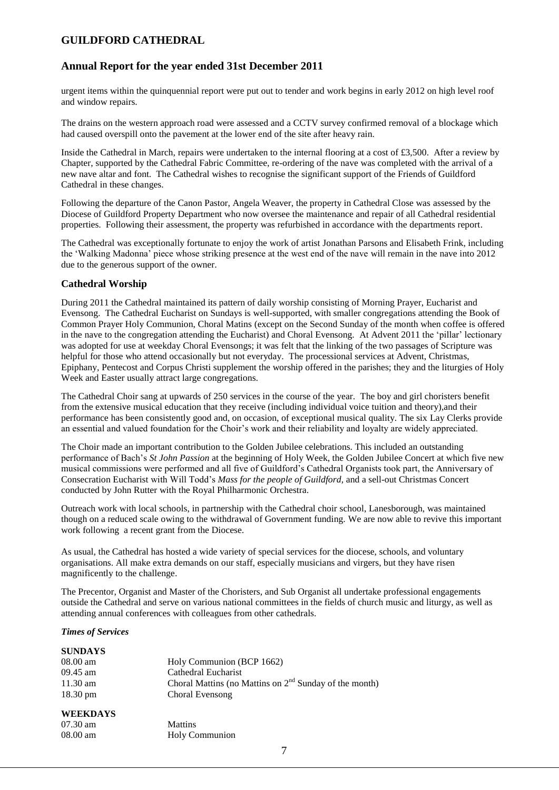### **Annual Report for the year ended 31st December 2011**

urgent items within the quinquennial report were put out to tender and work begins in early 2012 on high level roof and window repairs.

The drains on the western approach road were assessed and a CCTV survey confirmed removal of a blockage which had caused overspill onto the pavement at the lower end of the site after heavy rain.

Inside the Cathedral in March, repairs were undertaken to the internal flooring at a cost of £3,500. After a review by Chapter, supported by the Cathedral Fabric Committee, re-ordering of the nave was completed with the arrival of a new nave altar and font. The Cathedral wishes to recognise the significant support of the Friends of Guildford Cathedral in these changes.

Following the departure of the Canon Pastor, Angela Weaver, the property in Cathedral Close was assessed by the Diocese of Guildford Property Department who now oversee the maintenance and repair of all Cathedral residential properties. Following their assessment, the property was refurbished in accordance with the departments report.

The Cathedral was exceptionally fortunate to enjoy the work of artist Jonathan Parsons and Elisabeth Frink, including the 'Walking Madonna' piece whose striking presence at the west end of the nave will remain in the nave into 2012 due to the generous support of the owner.

#### **Cathedral Worship**

During 2011 the Cathedral maintained its pattern of daily worship consisting of Morning Prayer, Eucharist and Evensong. The Cathedral Eucharist on Sundays is well-supported, with smaller congregations attending the Book of Common Prayer Holy Communion, Choral Matins (except on the Second Sunday of the month when coffee is offered in the nave to the congregation attending the Eucharist) and Choral Evensong. At Advent 2011 the 'pillar' lectionary was adopted for use at weekday Choral Evensongs; it was felt that the linking of the two passages of Scripture was helpful for those who attend occasionally but not everyday. The processional services at Advent, Christmas, Epiphany, Pentecost and Corpus Christi supplement the worship offered in the parishes; they and the liturgies of Holy Week and Easter usually attract large congregations.

The Cathedral Choir sang at upwards of 250 services in the course of the year. The boy and girl choristers benefit from the extensive musical education that they receive (including individual voice tuition and theory),and their performance has been consistently good and, on occasion, of exceptional musical quality. The six Lay Clerks provide an essential and valued foundation for the Choir's work and their reliability and loyalty are widely appreciated.

The Choir made an important contribution to the Golden Jubilee celebrations. This included an outstanding performance of Bach's *St John Passion* at the beginning of Holy Week, the Golden Jubilee Concert at which five new musical commissions were performed and all five of Guildford's Cathedral Organists took part, the Anniversary of Consecration Eucharist with Will Todd's *Mass for the people of Guildford,* and a sell-out Christmas Concert conducted by John Rutter with the Royal Philharmonic Orchestra.

Outreach work with local schools, in partnership with the Cathedral choir school, Lanesborough, was maintained though on a reduced scale owing to the withdrawal of Government funding. We are now able to revive this important work following a recent grant from the Diocese.

As usual, the Cathedral has hosted a wide variety of special services for the diocese, schools, and voluntary organisations. All make extra demands on our staff, especially musicians and virgers, but they have risen magnificently to the challenge.

The Precentor, Organist and Master of the Choristers, and Sub Organist all undertake professional engagements outside the Cathedral and serve on various national committees in the fields of church music and liturgy, as well as attending annual conferences with colleagues from other cathedrals.

#### *Times of Services*

| <b>SUNDAYS</b>     |                                                          |
|--------------------|----------------------------------------------------------|
| $08.00$ am         | Holy Communion (BCP 1662)                                |
| 09.45 am           | Cathedral Eucharist                                      |
| $11.30 \text{ am}$ | Choral Mattins (no Mattins on $2nd$ Sunday of the month) |
| $18.30 \text{ pm}$ | Choral Evensong                                          |
| <b>WEEKDAYS</b>    |                                                          |
| $07.30 \text{ am}$ | <b>Mattins</b>                                           |
| $08.00 \text{ am}$ | <b>Holy Communion</b>                                    |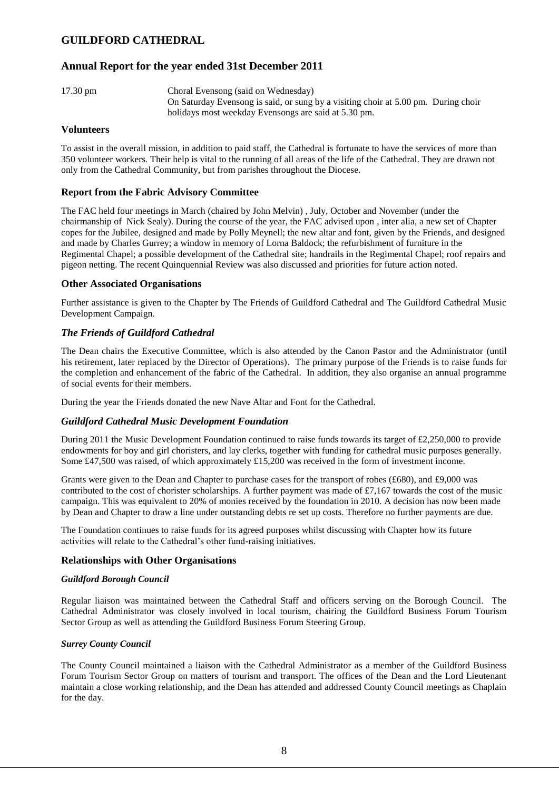### **Annual Report for the year ended 31st December 2011**

17.30 pm Choral Evensong (said on Wednesday) On Saturday Evensong is said, or sung by a visiting choir at 5.00 pm. During choir holidays most weekday Evensongs are said at 5.30 pm.

#### **Volunteers**

To assist in the overall mission, in addition to paid staff, the Cathedral is fortunate to have the services of more than 350 volunteer workers. Their help is vital to the running of all areas of the life of the Cathedral. They are drawn not only from the Cathedral Community, but from parishes throughout the Diocese.

#### **Report from the Fabric Advisory Committee**

The FAC held four meetings in March (chaired by John Melvin) , July, October and November (under the chairmanship of Nick Sealy). During the course of the year, the FAC advised upon , inter alia, a new set of Chapter copes for the Jubilee, designed and made by Polly Meynell; the new altar and font, given by the Friends, and designed and made by Charles Gurrey; a window in memory of Lorna Baldock; the refurbishment of furniture in the Regimental Chapel; a possible development of the Cathedral site; handrails in the Regimental Chapel; roof repairs and pigeon netting. The recent Quinquennial Review was also discussed and priorities for future action noted.

#### **Other Associated Organisations**

Further assistance is given to the Chapter by The Friends of Guildford Cathedral and The Guildford Cathedral Music Development Campaign.

### *The Friends of Guildford Cathedral*

The Dean chairs the Executive Committee, which is also attended by the Canon Pastor and the Administrator (until his retirement, later replaced by the Director of Operations). The primary purpose of the Friends is to raise funds for the completion and enhancement of the fabric of the Cathedral. In addition, they also organise an annual programme of social events for their members.

During the year the Friends donated the new Nave Altar and Font for the Cathedral.

#### *Guildford Cathedral Music Development Foundation*

During 2011 the Music Development Foundation continued to raise funds towards its target of £2,250,000 to provide endowments for boy and girl choristers, and lay clerks, together with funding for cathedral music purposes generally. Some £47,500 was raised, of which approximately £15,200 was received in the form of investment income.

Grants were given to the Dean and Chapter to purchase cases for the transport of robes (£680), and £9,000 was contributed to the cost of chorister scholarships. A further payment was made of £7,167 towards the cost of the music campaign. This was equivalent to 20% of monies received by the foundation in 2010. A decision has now been made by Dean and Chapter to draw a line under outstanding debts re set up costs. Therefore no further payments are due.

The Foundation continues to raise funds for its agreed purposes whilst discussing with Chapter how its future activities will relate to the Cathedral's other fund-raising initiatives.

#### **Relationships with Other Organisations**

#### *Guildford Borough Council*

Regular liaison was maintained between the Cathedral Staff and officers serving on the Borough Council. The Cathedral Administrator was closely involved in local tourism, chairing the Guildford Business Forum Tourism Sector Group as well as attending the Guildford Business Forum Steering Group.

#### *Surrey County Council*

The County Council maintained a liaison with the Cathedral Administrator as a member of the Guildford Business Forum Tourism Sector Group on matters of tourism and transport. The offices of the Dean and the Lord Lieutenant maintain a close working relationship, and the Dean has attended and addressed County Council meetings as Chaplain for the day.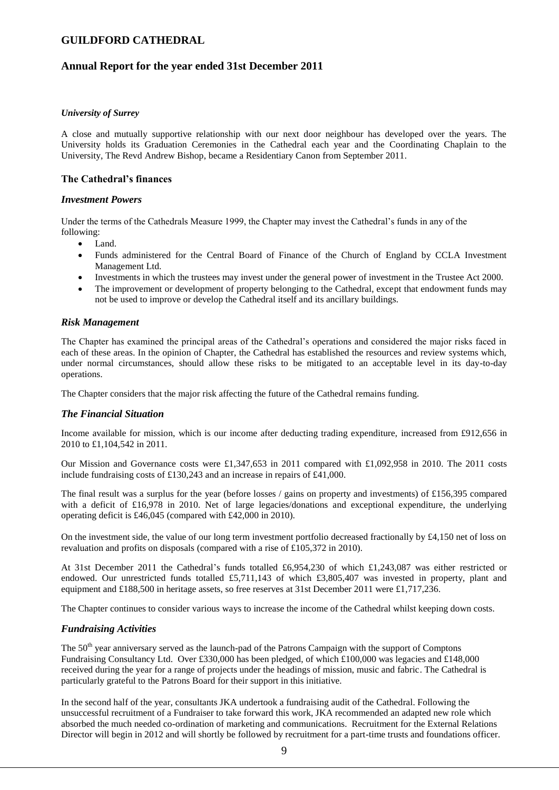### **Annual Report for the year ended 31st December 2011**

#### *University of Surrey*

A close and mutually supportive relationship with our next door neighbour has developed over the years. The University holds its Graduation Ceremonies in the Cathedral each year and the Coordinating Chaplain to the University, The Revd Andrew Bishop, became a Residentiary Canon from September 2011.

#### **The Cathedral's finances**

#### *Investment Powers*

Under the terms of the Cathedrals Measure 1999, the Chapter may invest the Cathedral's funds in any of the following:

- Land
- Funds administered for the Central Board of Finance of the Church of England by CCLA Investment Management Ltd.
- Investments in which the trustees may invest under the general power of investment in the Trustee Act 2000.
- The improvement or development of property belonging to the Cathedral, except that endowment funds may not be used to improve or develop the Cathedral itself and its ancillary buildings.

#### *Risk Management*

The Chapter has examined the principal areas of the Cathedral's operations and considered the major risks faced in each of these areas. In the opinion of Chapter, the Cathedral has established the resources and review systems which, under normal circumstances, should allow these risks to be mitigated to an acceptable level in its day-to-day operations.

The Chapter considers that the major risk affecting the future of the Cathedral remains funding.

#### *The Financial Situation*

Income available for mission, which is our income after deducting trading expenditure, increased from £912,656 in 2010 to £1,104,542 in 2011.

Our Mission and Governance costs were £1,347,653 in 2011 compared with £1,092,958 in 2010. The 2011 costs include fundraising costs of £130,243 and an increase in repairs of £41,000.

The final result was a surplus for the year (before losses / gains on property and investments) of £156,395 compared with a deficit of £16,978 in 2010. Net of large legacies/donations and exceptional expenditure, the underlying operating deficit is £46,045 (compared with £42,000 in 2010).

On the investment side, the value of our long term investment portfolio decreased fractionally by £4,150 net of loss on revaluation and profits on disposals (compared with a rise of £105,372 in 2010).

At 31st December 2011 the Cathedral's funds totalled £6,954,230 of which £1,243,087 was either restricted or endowed. Our unrestricted funds totalled £5,711,143 of which £3,805,407 was invested in property, plant and equipment and £188,500 in heritage assets, so free reserves at 31st December 2011 were £1,717,236.

The Chapter continues to consider various ways to increase the income of the Cathedral whilst keeping down costs.

#### *Fundraising Activities*

The  $50<sup>th</sup>$  year anniversary served as the launch-pad of the Patrons Campaign with the support of Comptons Fundraising Consultancy Ltd. Over £330,000 has been pledged, of which £100,000 was legacies and £148,000 received during the year for a range of projects under the headings of mission, music and fabric. The Cathedral is particularly grateful to the Patrons Board for their support in this initiative.

In the second half of the year, consultants JKA undertook a fundraising audit of the Cathedral. Following the unsuccessful recruitment of a Fundraiser to take forward this work, JKA recommended an adapted new role which absorbed the much needed co-ordination of marketing and communications. Recruitment for the External Relations Director will begin in 2012 and will shortly be followed by recruitment for a part-time trusts and foundations officer.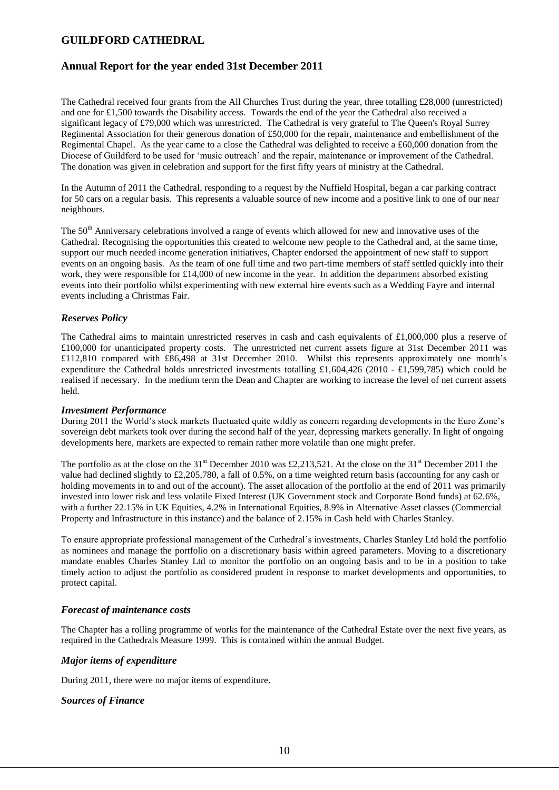### **Annual Report for the year ended 31st December 2011**

The Cathedral received four grants from the All Churches Trust during the year, three totalling £28,000 (unrestricted) and one for £1,500 towards the Disability access. Towards the end of the year the Cathedral also received a significant legacy of £79,000 which was unrestricted. The Cathedral is very grateful to The Queen's Royal Surrey Regimental Association for their generous donation of £50,000 for the repair, maintenance and embellishment of the Regimental Chapel. As the year came to a close the Cathedral was delighted to receive a £60,000 donation from the Diocese of Guildford to be used for 'music outreach' and the repair, maintenance or improvement of the Cathedral. The donation was given in celebration and support for the first fifty years of ministry at the Cathedral.

In the Autumn of 2011 the Cathedral, responding to a request by the Nuffield Hospital, began a car parking contract for 50 cars on a regular basis. This represents a valuable source of new income and a positive link to one of our near neighbours.

The 50<sup>th</sup> Anniversary celebrations involved a range of events which allowed for new and innovative uses of the Cathedral. Recognising the opportunities this created to welcome new people to the Cathedral and, at the same time, support our much needed income generation initiatives, Chapter endorsed the appointment of new staff to support events on an ongoing basis. As the team of one full time and two part-time members of staff settled quickly into their work, they were responsible for £14,000 of new income in the year. In addition the department absorbed existing events into their portfolio whilst experimenting with new external hire events such as a Wedding Fayre and internal events including a Christmas Fair.

### *Reserves Policy*

The Cathedral aims to maintain unrestricted reserves in cash and cash equivalents of £1,000,000 plus a reserve of £100,000 for unanticipated property costs. The unrestricted net current assets figure at 31st December 2011 was £112,810 compared with £86,498 at 31st December 2010. Whilst this represents approximately one month's expenditure the Cathedral holds unrestricted investments totalling £1,604,426 (2010 - £1,599,785) which could be realised if necessary. In the medium term the Dean and Chapter are working to increase the level of net current assets held.

#### *Investment Performance*

During 2011 the World's stock markets fluctuated quite wildly as concern regarding developments in the Euro Zone's sovereign debt markets took over during the second half of the year, depressing markets generally. In light of ongoing developments here, markets are expected to remain rather more volatile than one might prefer.

The portfolio as at the close on the 31<sup>st</sup> December 2010 was £2,213,521. At the close on the 31<sup>st</sup> December 2011 the value had declined slightly to £2,205,780, a fall of 0.5%, on a time weighted return basis (accounting for any cash or holding movements in to and out of the account). The asset allocation of the portfolio at the end of 2011 was primarily invested into lower risk and less volatile Fixed Interest (UK Government stock and Corporate Bond funds) at 62.6%, with a further 22.15% in UK Equities, 4.2% in International Equities, 8.9% in Alternative Asset classes (Commercial Property and Infrastructure in this instance) and the balance of 2.15% in Cash held with Charles Stanley.

To ensure appropriate professional management of the Cathedral's investments, Charles Stanley Ltd hold the portfolio as nominees and manage the portfolio on a discretionary basis within agreed parameters. Moving to a discretionary mandate enables Charles Stanley Ltd to monitor the portfolio on an ongoing basis and to be in a position to take timely action to adjust the portfolio as considered prudent in response to market developments and opportunities, to protect capital.

#### *Forecast of maintenance costs*

The Chapter has a rolling programme of works for the maintenance of the Cathedral Estate over the next five years, as required in the Cathedrals Measure 1999. This is contained within the annual Budget.

#### *Major items of expenditure*

During 2011, there were no major items of expenditure.

#### *Sources of Finance*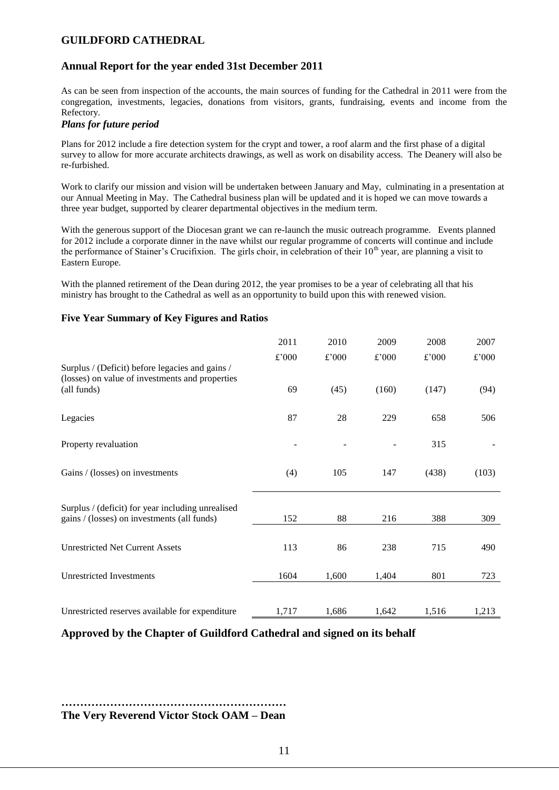### **Annual Report for the year ended 31st December 2011**

As can be seen from inspection of the accounts, the main sources of funding for the Cathedral in 2011 were from the congregation, investments, legacies, donations from visitors, grants, fundraising, events and income from the Refectory.

#### *Plans for future period*

Plans for 2012 include a fire detection system for the crypt and tower, a roof alarm and the first phase of a digital survey to allow for more accurate architects drawings, as well as work on disability access. The Deanery will also be re-furbished.

Work to clarify our mission and vision will be undertaken between January and May, culminating in a presentation at our Annual Meeting in May. The Cathedral business plan will be updated and it is hoped we can move towards a three year budget, supported by clearer departmental objectives in the medium term.

With the generous support of the Diocesan grant we can re-launch the music outreach programme. Events planned for 2012 include a corporate dinner in the nave whilst our regular programme of concerts will continue and include the performance of Stainer's Crucifixion. The girls choir, in celebration of their  $10<sup>th</sup>$  year, are planning a visit to Eastern Europe.

With the planned retirement of the Dean during 2012, the year promises to be a year of celebrating all that his ministry has brought to the Cathedral as well as an opportunity to build upon this with renewed vision.

### **Five Year Summary of Key Figures and Ratios**

|                                                                                                    | 2011  | 2010  | 2009  | 2008  | 2007  |
|----------------------------------------------------------------------------------------------------|-------|-------|-------|-------|-------|
| Surplus / (Deficit) before legacies and gains /<br>(losses) on value of investments and properties | £'000 | £'000 | £'000 | £'000 | £'000 |
| (all funds)                                                                                        | 69    | (45)  | (160) | (147) | (94)  |
| Legacies                                                                                           | 87    | 28    | 229   | 658   | 506   |
| Property revaluation                                                                               |       |       |       | 315   |       |
| Gains / (losses) on investments                                                                    | (4)   | 105   | 147   | (438) | (103) |
| Surplus / (deficit) for year including unrealised                                                  |       |       |       |       |       |
| gains / (losses) on investments (all funds)                                                        | 152   | 88    | 216   | 388   | 309   |
| <b>Unrestricted Net Current Assets</b>                                                             | 113   | 86    | 238   | 715   | 490   |
| <b>Unrestricted Investments</b>                                                                    | 1604  | 1,600 | 1,404 | 801   | 723   |
|                                                                                                    |       |       |       |       |       |
| Unrestricted reserves available for expenditure                                                    | 1,717 | 1,686 | 1,642 | 1,516 | 1,213 |

**Approved by the Chapter of Guildford Cathedral and signed on its behalf**

**…………………………………………………… The Very Reverend Victor Stock OAM – Dean**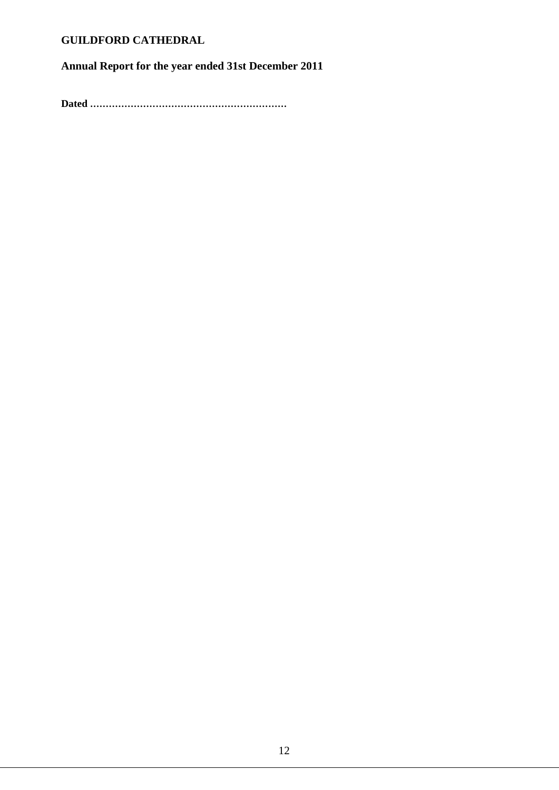**Annual Report for the year ended 31st December 2011**

**Dated ………………………………………………………**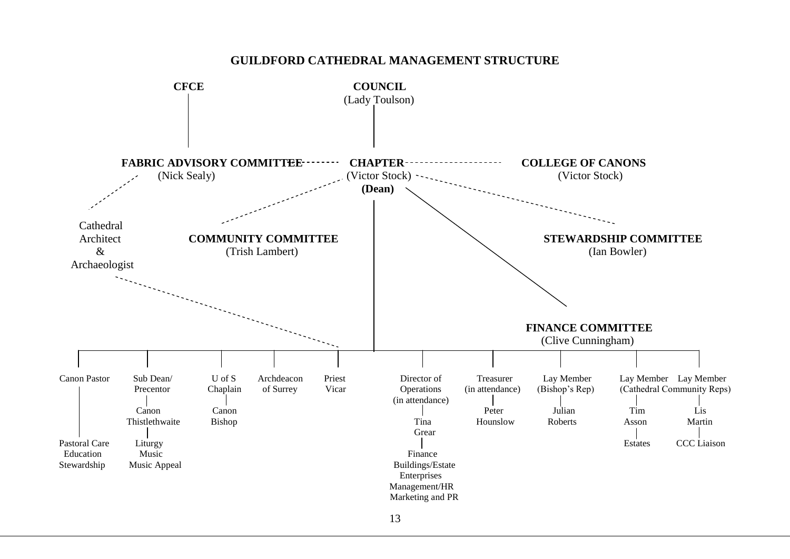

### **GUILDFORD CATHEDRAL MANAGEMENT STRUCTURE**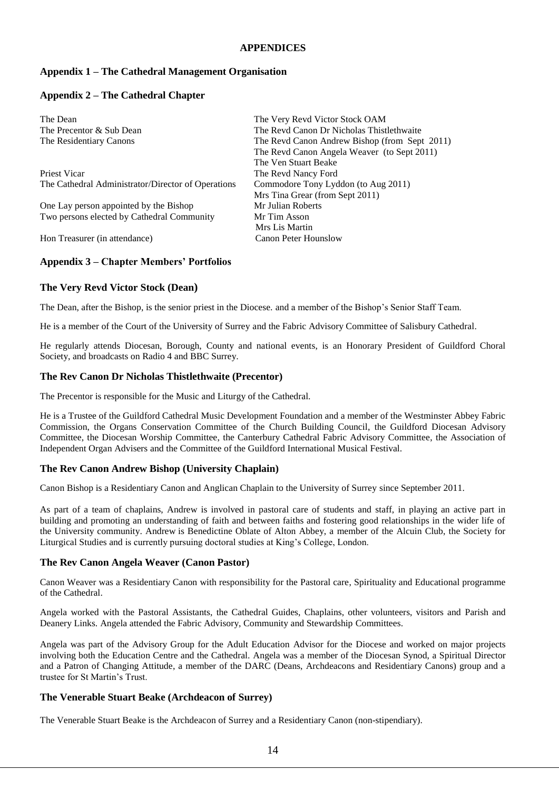#### **APPENDICES**

### **Appendix 1 – The Cathedral Management Organisation**

#### **Appendix 2 – The Cathedral Chapter**

| The Very Revd Victor Stock OAM                |
|-----------------------------------------------|
| The Revd Canon Dr Nicholas Thistlethwaite     |
| The Revd Canon Andrew Bishop (from Sept 2011) |
| The Revd Canon Angela Weaver (to Sept 2011)   |
| The Ven Stuart Beake                          |
| The Revd Nancy Ford                           |
| Commodore Tony Lyddon (to Aug 2011)           |
| Mrs Tina Grear (from Sept 2011)               |
| Mr Julian Roberts                             |
| Mr Tim Asson                                  |
| Mrs Lis Martin                                |
| <b>Canon Peter Hounslow</b>                   |
|                                               |

#### **Appendix 3 – Chapter Members' Portfolios**

#### **The Very Revd Victor Stock (Dean)**

The Dean, after the Bishop, is the senior priest in the Diocese. and a member of the Bishop's Senior Staff Team.

He is a member of the Court of the University of Surrey and the Fabric Advisory Committee of Salisbury Cathedral.

He regularly attends Diocesan, Borough, County and national events, is an Honorary President of Guildford Choral Society, and broadcasts on Radio 4 an[d BBC Surrey.](http://www.bbc.co.uk/southerncounties/faith)

#### **The Rev Canon Dr Nicholas Thistlethwaite (Precentor)**

The Precentor is responsible for the Music and Liturgy of the Cathedral.

He is a Trustee of the Guildford Cathedral Music Development Foundation and a member of the Westminster Abbey Fabric Commission, the Organs Conservation Committee of the Church Building Council, the Guildford Diocesan Advisory Committee, the Diocesan Worship Committee, the Canterbury Cathedral Fabric Advisory Committee, the Association of Independent Organ Advisers and the Committee of the Guildford International Musical Festival.

#### **The Rev Canon Andrew Bishop (University Chaplain)**

Canon Bishop is a Residentiary Canon and Anglican Chaplain to the University of Surrey since September 2011.

As part of a team of chaplains, Andrew is involved in pastoral care of students and staff, in playing an active part in building and promoting an understanding of faith and between faiths and fostering good relationships in the wider life of the University community. Andrew is Benedictine Oblate of Alton Abbey, a member of the Alcuin Club, the Society for Liturgical Studies and is currently pursuing doctoral studies at King's College, London.

#### **The Rev Canon Angela Weaver (Canon Pastor)**

Canon Weaver was a Residentiary Canon with responsibility for the Pastoral care, Spirituality and Educational programme of the Cathedral.

Angela worked with the Pastoral Assistants, the Cathedral Guides, Chaplains, other volunteers, visitors and Parish and Deanery Links. Angela attended the Fabric Advisory, Community and Stewardship Committees.

Angela was part of the Advisory Group for the Adult Education Advisor for the Diocese and worked on major projects involving both the Education Centre and the Cathedral. Angela was a member of the Diocesan Synod, a Spiritual Director and a Patron of Changing Attitude, a member of the DARC (Deans, Archdeacons and Residentiary Canons) group and a trustee for St Martin's Trust.

#### **The Venerable Stuart Beake (Archdeacon of Surrey)**

The Venerable Stuart Beake is the Archdeacon of Surrey and a Residentiary Canon (non-stipendiary).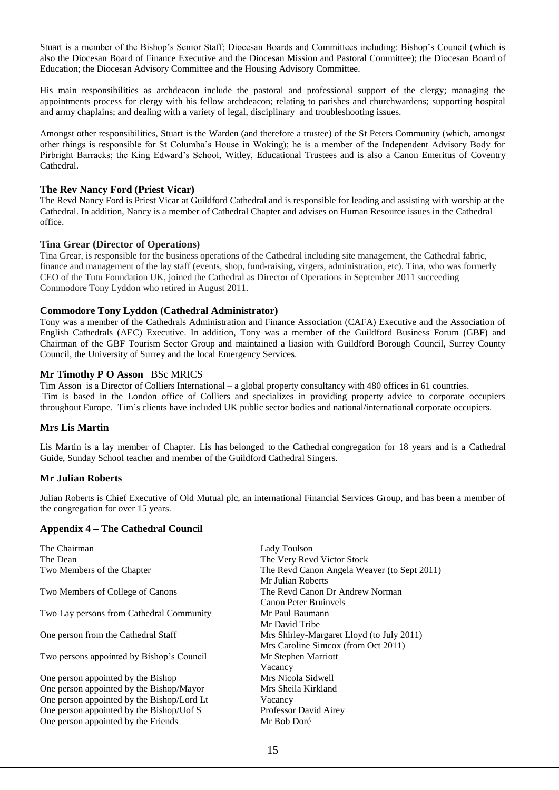Stuart is a member of the Bishop's Senior Staff; Diocesan Boards and Committees including: Bishop's Council (which is also the Diocesan Board of Finance Executive and the Diocesan Mission and Pastoral Committee); the Diocesan Board of Education; the Diocesan Advisory Committee and the Housing Advisory Committee.

His main responsibilities as archdeacon include the pastoral and professional support of the clergy; managing the appointments process for clergy with his fellow archdeacon; relating to parishes and churchwardens; supporting hospital and army chaplains; and dealing with a variety of legal, disciplinary and troubleshooting issues.

Amongst other responsibilities, Stuart is the Warden (and therefore a trustee) of the St Peters Community (which, amongst other things is responsible for St Columba's House in Woking); he is a member of the Independent Advisory Body for Pirbright Barracks; the King Edward's School, Witley, Educational Trustees and is also a Canon Emeritus of Coventry Cathedral.

#### **The Rev Nancy Ford (Priest Vicar)**

The Revd Nancy Ford is Priest Vicar at Guildford Cathedral and is responsible for leading and assisting with worship at the Cathedral. In addition, Nancy is a member of Cathedral Chapter and advises on Human Resource issues in the Cathedral office.

#### **Tina Grear (Director of Operations)**

Tina Grear, is responsible for the business operations of the Cathedral including site management, the Cathedral fabric, finance and management of the lay staff (events, shop, fund-raising, virgers, administration, etc). Tina, who was formerly CEO of the Tutu Foundation UK, joined the Cathedral as Director of Operations in September 2011 succeeding Commodore Tony Lyddon who retired in August 2011.

#### **Commodore Tony Lyddon (Cathedral Administrator)**

Tony was a member of the Cathedrals Administration and Finance Association (CAFA) Executive and the Association of English Cathedrals (AEC) Executive. In addition, Tony was a member of the Guildford Business Forum (GBF) and Chairman of the GBF Tourism Sector Group and maintained a liasion with Guildford Borough Council, Surrey County Council, the University of Surrey and the local Emergency Services.

#### **Mr Timothy P O Asson** BSc MRICS

Tim Asson is a Director of Colliers International – a global property consultancy with 480 offices in 61 countries. Tim is based in the London office of Colliers and specializes in providing property advice to corporate occupiers throughout Europe. Tim's clients have included UK public sector bodies and national/international corporate occupiers.

#### **Mrs Lis Martin**

Lis Martin is a lay member of Chapter. Lis has belonged to the Cathedral congregation for 18 years and is a Cathedral Guide, Sunday School teacher and member of the Guildford Cathedral Singers.

#### **Mr Julian Roberts**

Julian Roberts is Chief Executive of Old Mutual plc, an international Financial Services Group, and has been a member of the congregation for over 15 years.

#### **Appendix 4 – The Cathedral Council**

| The Chairman                               | Lady Toulson                                |
|--------------------------------------------|---------------------------------------------|
| The Dean                                   | The Very Revd Victor Stock                  |
| Two Members of the Chapter                 | The Revd Canon Angela Weaver (to Sept 2011) |
|                                            | Mr Julian Roberts                           |
| Two Members of College of Canons           | The Revd Canon Dr Andrew Norman             |
|                                            | Canon Peter Bruinvels                       |
| Two Lay persons from Cathedral Community   | Mr Paul Baumann                             |
|                                            | Mr David Tribe                              |
| One person from the Cathedral Staff        | Mrs Shirley-Margaret Lloyd (to July 2011)   |
|                                            | Mrs Caroline Simcox (from Oct 2011)         |
| Two persons appointed by Bishop's Council  | Mr Stephen Marriott                         |
|                                            | Vacancy                                     |
| One person appointed by the Bishop         | Mrs Nicola Sidwell                          |
| One person appointed by the Bishop/Mayor   | Mrs Sheila Kirkland                         |
| One person appointed by the Bishop/Lord Lt | Vacancy                                     |
| One person appointed by the Bishop/Uof S   | Professor David Airey                       |
| One person appointed by the Friends        | Mr Bob Doré                                 |
|                                            |                                             |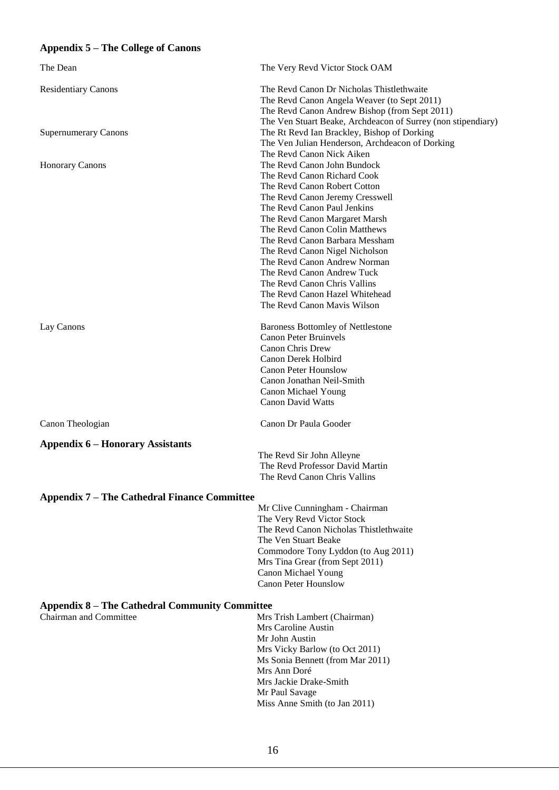### **Appendix 5 – The College of Canons**

| The Dean                                              | The Very Revd Victor Stock OAM                                                                                                                                                                                                                                                                                                                                                                                                                                    |  |  |
|-------------------------------------------------------|-------------------------------------------------------------------------------------------------------------------------------------------------------------------------------------------------------------------------------------------------------------------------------------------------------------------------------------------------------------------------------------------------------------------------------------------------------------------|--|--|
| <b>Residentiary Canons</b>                            | The Revd Canon Dr Nicholas Thistlethwaite<br>The Revd Canon Angela Weaver (to Sept 2011)<br>The Revd Canon Andrew Bishop (from Sept 2011)<br>The Ven Stuart Beake, Archdeacon of Surrey (non stipendiary)                                                                                                                                                                                                                                                         |  |  |
| <b>Supernumerary Canons</b>                           | The Rt Revd Ian Brackley, Bishop of Dorking<br>The Ven Julian Henderson, Archdeacon of Dorking<br>The Revd Canon Nick Aiken                                                                                                                                                                                                                                                                                                                                       |  |  |
| <b>Honorary Canons</b>                                | The Revd Canon John Bundock<br>The Revd Canon Richard Cook<br>The Revd Canon Robert Cotton<br>The Revd Canon Jeremy Cresswell<br>The Revd Canon Paul Jenkins<br>The Revd Canon Margaret Marsh<br>The Revd Canon Colin Matthews<br>The Revd Canon Barbara Messham<br>The Revd Canon Nigel Nicholson<br>The Revd Canon Andrew Norman<br>The Revd Canon Andrew Tuck<br>The Revd Canon Chris Vallins<br>The Revd Canon Hazel Whitehead<br>The Revd Canon Mavis Wilson |  |  |
| Lay Canons                                            | <b>Baroness Bottomley of Nettlestone</b><br><b>Canon Peter Bruinvels</b><br>Canon Chris Drew<br>Canon Derek Holbird<br><b>Canon Peter Hounslow</b><br>Canon Jonathan Neil-Smith<br>Canon Michael Young<br><b>Canon David Watts</b>                                                                                                                                                                                                                                |  |  |
| Canon Theologian                                      | Canon Dr Paula Gooder                                                                                                                                                                                                                                                                                                                                                                                                                                             |  |  |
| <b>Appendix 6 – Honorary Assistants</b>               |                                                                                                                                                                                                                                                                                                                                                                                                                                                                   |  |  |
|                                                       | The Revd Sir John Alleyne<br>The Revd Professor David Martin<br>The Revd Canon Chris Vallins                                                                                                                                                                                                                                                                                                                                                                      |  |  |
| <b>Appendix 7 – The Cathedral Finance Committee</b>   |                                                                                                                                                                                                                                                                                                                                                                                                                                                                   |  |  |
|                                                       | Mr Clive Cunningham - Chairman<br>The Very Revd Victor Stock<br>The Revd Canon Nicholas Thistlethwaite<br>The Ven Stuart Beake<br>Commodore Tony Lyddon (to Aug 2011)<br>Mrs Tina Grear (from Sept 2011)<br>Canon Michael Young<br><b>Canon Peter Hounslow</b>                                                                                                                                                                                                    |  |  |
| <b>Appendix 8 – The Cathedral Community Committee</b> |                                                                                                                                                                                                                                                                                                                                                                                                                                                                   |  |  |
| Chairman and Committee                                | Mrs Trish Lambert (Chairman)<br>Mrs Caroline Austin<br>Mr John Austin<br>Mrs Vicky Barlow (to Oct 2011)<br>Ms Sonia Bennett (from Mar 2011)<br>Mrs Ann Doré<br>Mrs Jackie Drake-Smith<br>Mr Paul Savage<br>Miss Anne Smith (to Jan 2011)                                                                                                                                                                                                                          |  |  |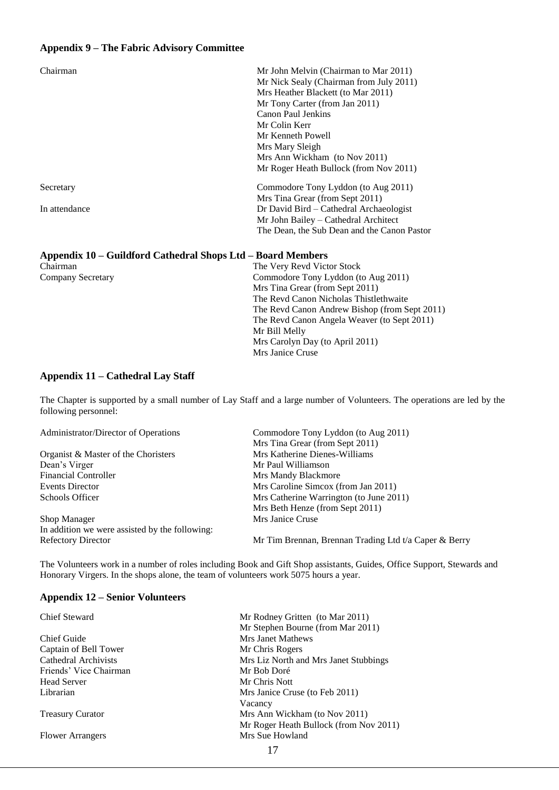### **Appendix 9 – The Fabric Advisory Committee**

| Mr Nick Sealy (Chairman from July 2011)<br>Mrs Heather Blackett (to Mar 2011)<br>Mr Tony Carter (from Jan 2011)<br>Canon Paul Jenkins<br>Mr Colin Kerr<br>Mr Kenneth Powell<br>Mrs Mary Sleigh<br>Mrs Ann Wickham (to Nov 2011)<br>Mr Roger Heath Bullock (from Nov 2011) |  |
|---------------------------------------------------------------------------------------------------------------------------------------------------------------------------------------------------------------------------------------------------------------------------|--|
| Commodore Tony Lyddon (to Aug 2011)<br>Secretary                                                                                                                                                                                                                          |  |
| Mrs Tina Grear (from Sept 2011)<br>In attendance<br>Dr David Bird – Cathedral Archaeologist<br>Mr John Bailey - Cathedral Architect<br>The Dean, the Sub Dean and the Canon Pastor                                                                                        |  |

#### **Appendix 10 – Guildford Cathedral Shops Ltd – Board Members**

| Chairman          | The Very Revd Victor Stock                    |
|-------------------|-----------------------------------------------|
| Company Secretary | Commodore Tony Lyddon (to Aug 2011)           |
|                   | Mrs Tina Grear (from Sept 2011)               |
|                   | The Revd Canon Nicholas Thistlethwaite        |
|                   | The Revd Canon Andrew Bishop (from Sept 2011) |
|                   | The Revd Canon Angela Weaver (to Sept 2011)   |
|                   | Mr Bill Melly                                 |
|                   | Mrs Carolyn Day (to April 2011)               |
|                   | Mrs Janice Cruse                              |
|                   |                                               |

### **Appendix 11 – Cathedral Lay Staff**

The Chapter is supported by a small number of Lay Staff and a large number of Volunteers. The operations are led by the following personnel:

Administrator/Director of Operations Commodore Tony Lyddon (to Aug 2011)

|                                                | Mrs Tina Grear (from Sept 2011)                       |
|------------------------------------------------|-------------------------------------------------------|
| Organist & Master of the Choristers            | Mrs Katherine Dienes-Williams                         |
| Dean's Virger                                  | Mr Paul Williamson                                    |
| <b>Financial Controller</b>                    | Mrs Mandy Blackmore                                   |
| Events Director                                | Mrs Caroline Simcox (from Jan 2011)                   |
| Schools Officer                                | Mrs Catherine Warrington (to June 2011)               |
|                                                | Mrs Beth Henze (from Sept 2011)                       |
| Shop Manager                                   | Mrs Janice Cruse                                      |
| In addition we were assisted by the following: |                                                       |
| <b>Refectory Director</b>                      | Mr Tim Brennan, Brennan Trading Ltd t/a Caper & Berry |

The Volunteers work in a number of roles including Book and Gift Shop assistants, Guides, Office Support, Stewards and Honorary Virgers. In the shops alone, the team of volunteers work 5075 hours a year.

#### **Appendix 12 – Senior Volunteers**

| <b>Chief Steward</b>    | Mr Rodney Gritten (to Mar 2011)        |
|-------------------------|----------------------------------------|
|                         | Mr Stephen Bourne (from Mar 2011)      |
| Chief Guide             | Mrs Janet Mathews                      |
| Captain of Bell Tower   | Mr Chris Rogers                        |
| Cathedral Archivists    | Mrs Liz North and Mrs Janet Stubbings  |
| Friends' Vice Chairman  | Mr Bob Doré                            |
| <b>Head Server</b>      | Mr Chris Nott                          |
| Librarian               | Mrs Janice Cruse (to Feb 2011)         |
|                         | Vacancy                                |
| <b>Treasury Curator</b> | Mrs Ann Wickham (to Nov 2011)          |
|                         | Mr Roger Heath Bullock (from Nov 2011) |
| <b>Flower Arrangers</b> | Mrs Sue Howland                        |
|                         | 17                                     |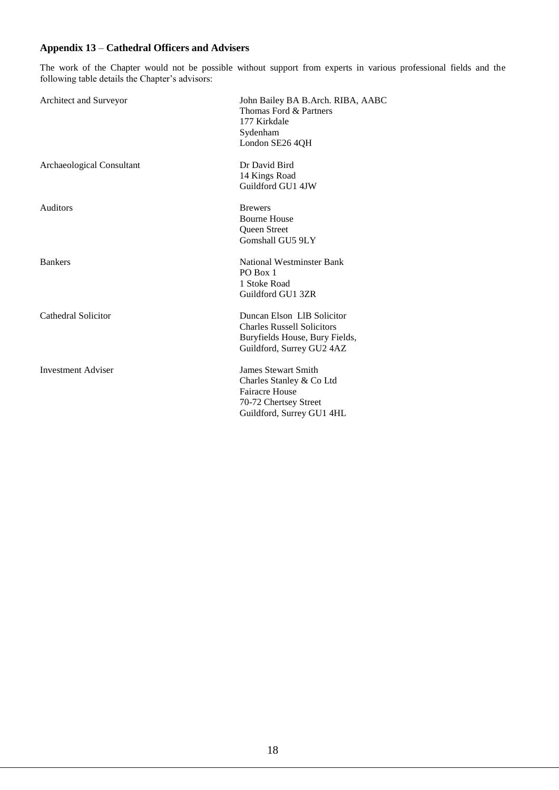### **Appendix 13** – **Cathedral Officers and Advisers**

The work of the Chapter would not be possible without support from experts in various professional fields and the following table details the Chapter's advisors:

| Architect and Surveyor    | John Bailey BA B.Arch. RIBA, AABC<br>Thomas Ford & Partners<br>177 Kirkdale<br>Sydenham<br>London SE26 4QH                            |
|---------------------------|---------------------------------------------------------------------------------------------------------------------------------------|
| Archaeological Consultant | Dr David Bird<br>14 Kings Road<br>Guildford GU1 4JW                                                                                   |
| <b>Auditors</b>           | <b>Brewers</b><br><b>Bourne House</b><br>Queen Street<br>Gomshall GU5 9LY                                                             |
| <b>Bankers</b>            | National Westminster Bank<br>PO Box 1<br>1 Stoke Road<br>Guildford GU1 3ZR                                                            |
| Cathedral Solicitor       | Duncan Elson LIB Solicitor<br><b>Charles Russell Solicitors</b><br>Buryfields House, Bury Fields,<br>Guildford, Surrey GU2 4AZ        |
| <b>Investment Adviser</b> | <b>James Stewart Smith</b><br>Charles Stanley & Co Ltd<br><b>Fairacre House</b><br>70-72 Chertsey Street<br>Guildford, Surrey GU1 4HL |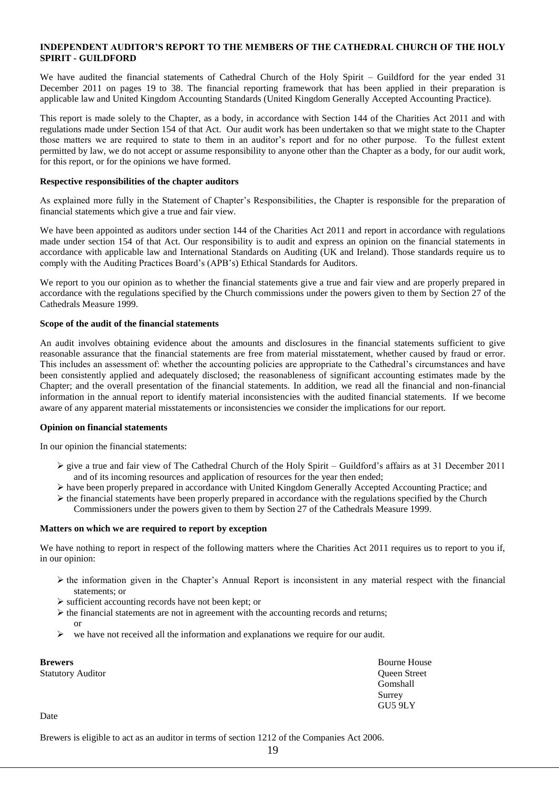#### **INDEPENDENT AUDITOR'S REPORT TO THE MEMBERS OF THE CATHEDRAL CHURCH OF THE HOLY SPIRIT - GUILDFORD**

We have audited the financial statements of Cathedral Church of the Holy Spirit – Guildford for the year ended 31 December 2011 on pages 19 to 38. The financial reporting framework that has been applied in their preparation is applicable law and United Kingdom Accounting Standards (United Kingdom Generally Accepted Accounting Practice).

This report is made solely to the Chapter, as a body, in accordance with Section 144 of the Charities Act 2011 and with regulations made under Section 154 of that Act. Our audit work has been undertaken so that we might state to the Chapter those matters we are required to state to them in an auditor's report and for no other purpose. To the fullest extent permitted by law, we do not accept or assume responsibility to anyone other than the Chapter as a body, for our audit work, for this report, or for the opinions we have formed.

#### **Respective responsibilities of the chapter auditors**

As explained more fully in the Statement of Chapter's Responsibilities, the Chapter is responsible for the preparation of financial statements which give a true and fair view.

We have been appointed as auditors under section 144 of the Charities Act 2011 and report in accordance with regulations made under section 154 of that Act. Our responsibility is to audit and express an opinion on the financial statements in accordance with applicable law and International Standards on Auditing (UK and Ireland). Those standards require us to comply with the Auditing Practices Board's (APB's) Ethical Standards for Auditors.

We report to you our opinion as to whether the financial statements give a true and fair view and are properly prepared in accordance with the regulations specified by the Church commissions under the powers given to them by Section 27 of the Cathedrals Measure 1999.

#### **Scope of the audit of the financial statements**

An audit involves obtaining evidence about the amounts and disclosures in the financial statements sufficient to give reasonable assurance that the financial statements are free from material misstatement, whether caused by fraud or error. This includes an assessment of: whether the accounting policies are appropriate to the Cathedral's circumstances and have been consistently applied and adequately disclosed; the reasonableness of significant accounting estimates made by the Chapter; and the overall presentation of the financial statements. In addition, we read all the financial and non-financial information in the annual report to identify material inconsistencies with the audited financial statements. If we become aware of any apparent material misstatements or inconsistencies we consider the implications for our report.

#### **Opinion on financial statements**

In our opinion the financial statements:

- $\triangleright$  give a true and fair view of The Cathedral Church of the Holy Spirit Guildford's affairs as at 31 December 2011 and of its incoming resources and application of resources for the year then ended;
- $\triangleright$  have been properly prepared in accordance with United Kingdom Generally Accepted Accounting Practice; and  $\triangleright$  the financial statements have been properly prepared in accordance with the regulations specified by the Church
	- Commissioners under the powers given to them by Section 27 of the Cathedrals Measure 1999.

#### **Matters on which we are required to report by exception**

We have nothing to report in respect of the following matters where the Charities Act 2011 requires us to report to you if, in our opinion:

- $\triangleright$  the information given in the Chapter's Annual Report is inconsistent in any material respect with the financial statements; or
- $\triangleright$  sufficient accounting records have not been kept; or
- $\triangleright$  the financial statements are not in agreement with the accounting records and returns; or
- we have not received all the information and explanations we require for our audit.

| Brewers                  | <b>Bourne House</b> |
|--------------------------|---------------------|
| <b>Statutory Auditor</b> | <b>Oueen Street</b> |
|                          | Gomshall            |
|                          | Surrey              |
|                          | GU5 9LY             |
| $\sim$ $\sim$            |                     |

Date

Brewers is eligible to act as an auditor in terms of section 1212 of the Companies Act 2006.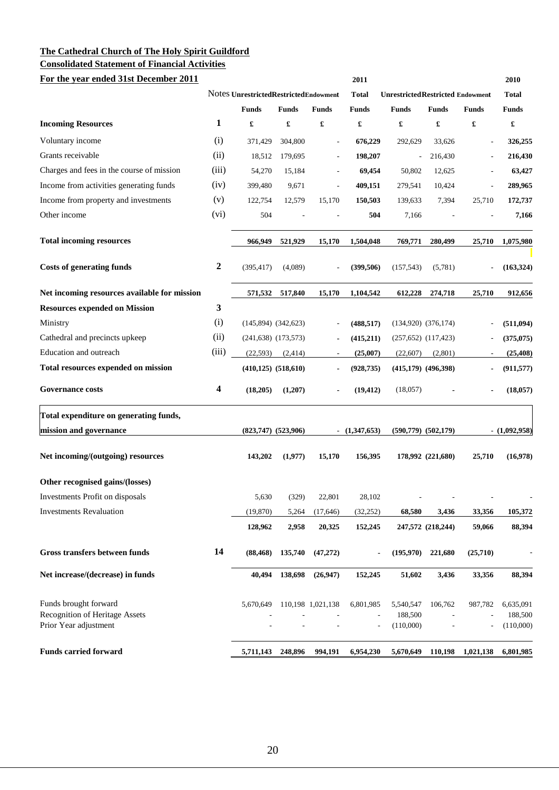**Consolidated Statement of Financial Activities**

| For the year ended 31st December 2011                                                   |                  |                                       |                           |                          | 2011            |                                          |                          |                              | 2010                              |
|-----------------------------------------------------------------------------------------|------------------|---------------------------------------|---------------------------|--------------------------|-----------------|------------------------------------------|--------------------------|------------------------------|-----------------------------------|
|                                                                                         |                  | Notes UnrestrictedRestrictedEndowment |                           |                          | <b>Total</b>    | <b>Unrestricted Restricted Endowment</b> |                          |                              | <b>Total</b>                      |
|                                                                                         |                  | <b>Funds</b>                          | <b>Funds</b>              | <b>Funds</b>             | <b>Funds</b>    | <b>Funds</b>                             | <b>Funds</b>             | <b>Funds</b>                 | <b>Funds</b>                      |
| <b>Incoming Resources</b>                                                               | 1                | £                                     | £                         | £                        | £               | £                                        | £                        | £                            | £                                 |
| Voluntary income                                                                        | (i)              | 371,429                               | 304,800                   |                          | 676,229         | 292,629                                  | 33,626                   | $\overline{a}$               | 326,255                           |
| Grants receivable                                                                       | (ii)             | 18,512                                | 179,695                   | $\overline{\phantom{a}}$ | 198,207         | $\overline{a}$                           | 216,430                  | $\qquad \qquad \blacksquare$ | 216,430                           |
| Charges and fees in the course of mission                                               | (iii)            | 54,270                                | 15,184                    | $\overline{\phantom{m}}$ | 69,454          | 50,802                                   | 12,625                   | $\overline{a}$               | 63,427                            |
| Income from activities generating funds                                                 | (iv)             | 399,480                               | 9,671                     | $\overline{\phantom{a}}$ | 409,151         | 279,541                                  | 10,424                   | $\overline{a}$               | 289,965                           |
| Income from property and investments                                                    | (v)              | 122,754                               | 12,579                    | 15,170                   | 150,503         | 139,633                                  | 7,394                    | 25,710                       | 172,737                           |
| Other income                                                                            | (vi)             | 504                                   |                           |                          | 504             | 7,166                                    |                          |                              | 7,166                             |
| <b>Total incoming resources</b>                                                         |                  | 966,949                               | 521,929                   | 15,170                   | 1,504,048       | 769,771                                  | 280,499                  | 25,710                       | 1,075,980                         |
| <b>Costs of generating funds</b>                                                        | $\boldsymbol{2}$ | (395, 417)                            | (4,089)                   |                          | (399, 506)      | (157, 543)                               | (5,781)                  |                              | (163, 324)                        |
| Net incoming resources available for mission                                            |                  | 571,532                               | 517,840                   | 15,170                   | 1,104,542       | 612,228                                  | 274,718                  | 25,710                       | 912,656                           |
| <b>Resources expended on Mission</b>                                                    | $\mathbf{3}$     |                                       |                           |                          |                 |                                          |                          |                              |                                   |
| Ministry                                                                                | (i)              |                                       | $(145,894)$ $(342,623)$   |                          | (488, 517)      |                                          | $(134,920)$ $(376,174)$  | $\overline{a}$               | (511,094)                         |
| Cathedral and precincts upkeep                                                          | (ii)             |                                       | $(241, 638)$ $(173, 573)$ |                          | (415,211)       |                                          | $(257,652)$ $(117,423)$  | $\overline{a}$               | (375, 075)                        |
| Education and outreach                                                                  | (iii)            | (22, 593)                             | (2, 414)                  |                          | (25,007)        | (22,607)                                 | (2,801)                  |                              | (25, 408)                         |
| Total resources expended on mission                                                     |                  |                                       | $(410, 125)$ $(518, 610)$ | $\blacksquare$           | (928, 735)      |                                          | $(415,179)$ $(496,398)$  | $\blacksquare$               | (911, 577)                        |
| <b>Governance costs</b>                                                                 | 4                | (18,205)                              | (1,207)                   |                          | (19, 412)       | (18,057)                                 |                          |                              | (18,057)                          |
| Total expenditure on generating funds,                                                  |                  |                                       |                           |                          |                 |                                          |                          |                              |                                   |
| mission and governance                                                                  |                  |                                       | $(823,747)$ $(523,906)$   |                          | $-$ (1,347,653) |                                          | $(590,779)$ $(502,179)$  |                              | $- (1,092,958)$                   |
| Net incoming/(outgoing) resources                                                       |                  | 143,202                               | (1,977)                   | 15,170                   | 156,395         |                                          | 178,992 (221,680)        | 25,710                       | (16,978)                          |
| Other recognised gains/(losses)                                                         |                  |                                       |                           |                          |                 |                                          |                          |                              |                                   |
| Investments Profit on disposals                                                         |                  | 5,630                                 | (329)                     | 22,801                   | 28,102          | $\overline{\phantom{a}}$                 | $\overline{\phantom{m}}$ | $\qquad \qquad \blacksquare$ |                                   |
| <b>Investments Revaluation</b>                                                          |                  | (19, 870)                             | 5,264                     | (17,646)                 | (32, 252)       | 68,580                                   | 3,436                    | 33,356                       | 105,372                           |
|                                                                                         |                  | 128,962                               | 2,958                     | 20,325                   | 152,245         |                                          | 247,572 (218,244)        | 59,066                       | 88,394                            |
| Gross transfers between funds                                                           | 14               | (88, 468)                             | 135,740                   | (47, 272)                |                 | (195,970)                                | 221,680                  | (25,710)                     |                                   |
| Net increase/(decrease) in funds                                                        |                  | 40,494                                | 138,698                   | (26,947)                 | 152,245         | 51,602                                   | 3,436                    | 33,356                       | 88,394                            |
| Funds brought forward<br><b>Recognition of Heritage Assets</b><br>Prior Year adjustment |                  | 5,670,649                             |                           | 110,198 1,021,138        | 6,801,985       | 5,540,547<br>188,500<br>(110,000)        | 106,762                  | 987,782                      | 6,635,091<br>188,500<br>(110,000) |
| <b>Funds carried forward</b>                                                            |                  | 5,711,143                             | 248,896                   | 994,191                  | 6,954,230       | 5,670,649                                | 110,198                  | 1,021,138                    | 6,801,985                         |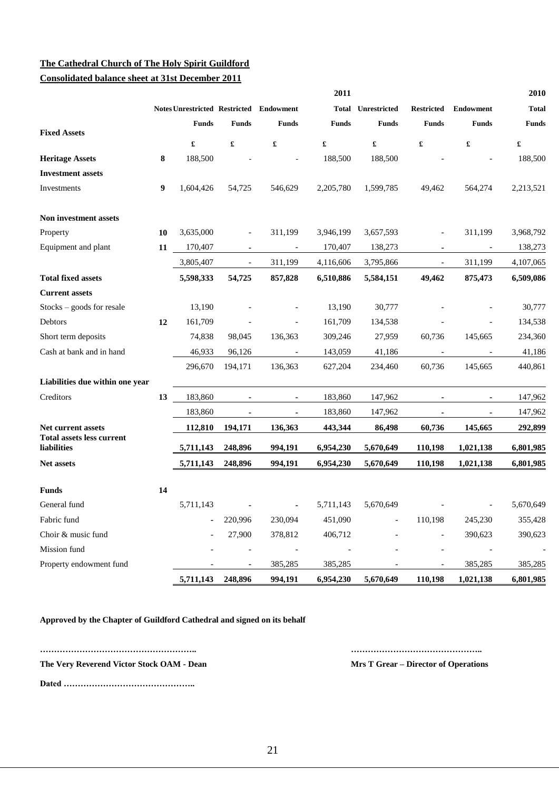| <b>Consolidated balance sheet at 31st December 2011</b> |  |  |  |
|---------------------------------------------------------|--|--|--|
|                                                         |  |  |  |

|                                                 |    |                      |                          |                                                | 2011         |                           |                          |                          | 2010                 |
|-------------------------------------------------|----|----------------------|--------------------------|------------------------------------------------|--------------|---------------------------|--------------------------|--------------------------|----------------------|
|                                                 |    |                      |                          | <b>Notes Unrestricted Restricted Endowment</b> |              | <b>Total Unrestricted</b> | <b>Restricted</b>        | <b>Endowment</b>         | <b>Total</b>         |
|                                                 |    | <b>Funds</b>         | <b>Funds</b>             | <b>Funds</b>                                   | <b>Funds</b> | <b>Funds</b>              | <b>Funds</b>             | <b>Funds</b>             | <b>Funds</b>         |
| <b>Fixed Assets</b>                             |    | $\pmb{\mathfrak{L}}$ | $\pmb{\mathfrak{L}}$     | £                                              | £            | $\pmb{\mathfrak{L}}$      | £                        | $\pmb{\mathfrak{L}}$     | $\pmb{\mathfrak{L}}$ |
| <b>Heritage Assets</b>                          | 8  | 188,500              |                          |                                                | 188,500      | 188,500                   |                          |                          | 188,500              |
| <b>Investment</b> assets                        |    |                      |                          |                                                |              |                           |                          |                          |                      |
| Investments                                     | 9  | 1,604,426            | 54,725                   | 546,629                                        | 2,205,780    | 1,599,785                 | 49,462                   | 564,274                  | 2,213,521            |
| Non investment assets                           |    |                      |                          |                                                |              |                           |                          |                          |                      |
| Property                                        | 10 | 3,635,000            |                          | 311,199                                        | 3,946,199    | 3,657,593                 | $\qquad \qquad -$        | 311,199                  | 3,968,792            |
| Equipment and plant                             | 11 | 170,407              |                          | $\overline{\phantom{a}}$                       | 170,407      | 138,273                   | ۰                        | $\overline{\phantom{a}}$ | 138,273              |
|                                                 |    | 3,805,407            | $\overline{\phantom{a}}$ | 311,199                                        | 4,116,606    | 3,795,866                 | $\overline{\phantom{a}}$ | 311,199                  | 4,107,065            |
| <b>Total fixed assets</b>                       |    | 5,598,333            | 54,725                   | 857,828                                        | 6,510,886    | 5,584,151                 | 49,462                   | 875,473                  | 6,509,086            |
| <b>Current assets</b>                           |    |                      |                          |                                                |              |                           |                          |                          |                      |
| $Stocks - goods for resale$                     |    | 13,190               |                          |                                                | 13,190       | 30,777                    |                          |                          | 30,777               |
| Debtors                                         | 12 | 161,709              |                          |                                                | 161,709      | 134,538                   |                          |                          | 134,538              |
| Short term deposits                             |    | 74,838               | 98,045                   | 136,363                                        | 309,246      | 27,959                    | 60,736                   | 145,665                  | 234,360              |
| Cash at bank and in hand                        |    | 46,933               | 96,126                   | $\overline{\phantom{a}}$                       | 143,059      | 41,186                    | $\overline{\phantom{a}}$ | $\overline{\phantom{a}}$ | 41,186               |
|                                                 |    | 296,670              | 194,171                  | 136,363                                        | 627,204      | 234,460                   | 60,736                   | 145,665                  | 440,861              |
| Liabilities due within one year                 |    |                      |                          |                                                |              |                           |                          |                          |                      |
| Creditors                                       | 13 | 183,860              | $\blacksquare$           | $\blacksquare$                                 | 183,860      | 147,962                   | $\blacksquare$           | $\blacksquare$           | 147,962              |
|                                                 |    | 183,860              | $\blacksquare$           | ۰                                              | 183,860      | 147,962                   |                          |                          | 147,962              |
| Net current assets                              |    | 112,810              | 194,171                  | 136,363                                        | 443,344      | 86,498                    | 60,736                   | 145,665                  | 292,899              |
| <b>Total assets less current</b><br>liabilities |    | 5,711,143            | 248,896                  | 994,191                                        | 6,954,230    | 5,670,649                 | 110,198                  | 1,021,138                | 6,801,985            |
| Net assets                                      |    | 5,711,143            | 248,896                  | 994,191                                        | 6,954,230    | 5,670,649                 | 110,198                  | 1,021,138                | 6,801,985            |
| <b>Funds</b>                                    | 14 |                      |                          |                                                |              |                           |                          |                          |                      |
| General fund                                    |    | 5,711,143            |                          |                                                | 5,711,143    | 5,670,649                 |                          | $\overline{\phantom{a}}$ | 5,670,649            |
| Fabric fund                                     |    |                      | 220,996                  | 230,094                                        | 451,090      |                           | 110,198                  | 245,230                  | 355,428              |
| Choir & music fund                              |    |                      | 27,900                   | 378,812                                        | 406,712      |                           |                          | 390,623                  | 390,623              |
| Mission fund                                    |    |                      |                          |                                                |              |                           |                          | $\overline{\phantom{a}}$ |                      |
| Property endowment fund                         |    |                      | ٠                        | 385,285                                        | 385,285      |                           |                          | 385,285                  | 385,285              |
|                                                 |    |                      | 5,711,143 248,896        | 994,191                                        | 6,954,230    | 5,670,649                 | 110,198                  | 1,021,138                | 6,801,985            |

**Approved by the Chapter of Guildford Cathedral and signed on its behalf** 

**……………………………………………….. ………………………………………..**

**The Very Reverend Victor Stock OAM - Dean Mrs T Grear – Director of Operations**

**Dated ………………………………………..**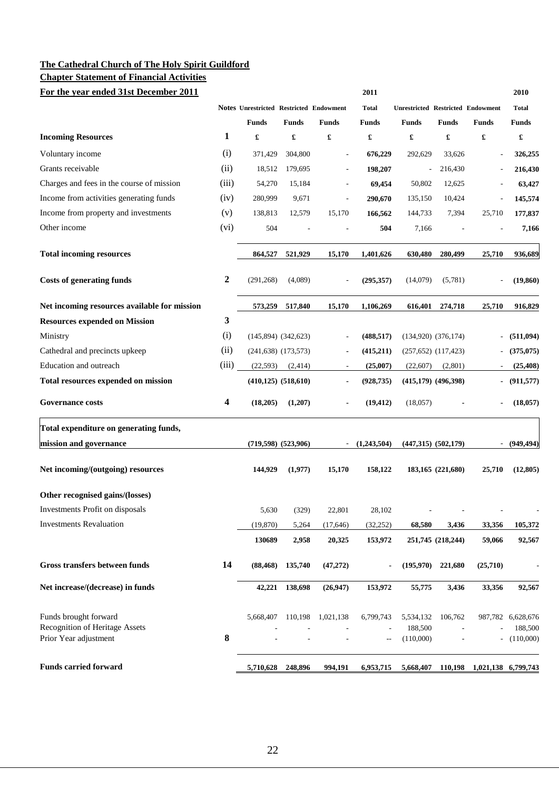# **Chapter Statement of Financial Activities**

| For the year ended 31st December 2011                          |                  |                                         |                           |                          | 2011                                                |                                          |                         |                     | 2010                 |
|----------------------------------------------------------------|------------------|-----------------------------------------|---------------------------|--------------------------|-----------------------------------------------------|------------------------------------------|-------------------------|---------------------|----------------------|
|                                                                |                  | Notes Unrestricted Restricted Endowment |                           |                          | <b>Total</b>                                        | <b>Unrestricted Restricted Endowment</b> |                         |                     | <b>Total</b>         |
|                                                                |                  | <b>Funds</b>                            | <b>Funds</b>              | <b>Funds</b>             | <b>Funds</b>                                        | <b>Funds</b>                             | <b>Funds</b>            | <b>Funds</b>        | <b>Funds</b>         |
| <b>Incoming Resources</b>                                      | 1                | £                                       | £                         | £                        | $\pmb{\mathfrak{L}}$                                | £                                        | £                       | £                   | $\pmb{\mathfrak{L}}$ |
| Voluntary income                                               | (i)              | 371,429                                 | 304,800                   |                          | 676,229                                             | 292,629                                  | 33,626                  |                     | 326,255              |
| Grants receivable                                              | (ii)             | 18,512                                  | 179,695                   | $\overline{a}$           | 198,207                                             | ÷,                                       | 216,430                 |                     | 216,430              |
| Charges and fees in the course of mission                      | (iii)            | 54,270                                  | 15,184                    |                          | 69,454                                              | 50,802                                   | 12,625                  |                     | 63,427               |
| Income from activities generating funds                        | (iv)             | 280,999                                 | 9,671                     |                          | 290,670                                             | 135,150                                  | 10,424                  |                     | 145,574              |
| Income from property and investments                           | (v)              | 138,813                                 | 12,579                    | 15,170                   | 166,562                                             | 144,733                                  | 7,394                   | 25,710              | 177,837              |
| Other income                                                   | (vi)             | 504                                     |                           |                          | 504                                                 | 7,166                                    |                         |                     | 7,166                |
| <b>Total incoming resources</b>                                |                  | 864,527                                 | 521,929                   | 15,170                   | 1,401,626                                           | 630,480                                  | 280,499                 | 25,710              | 936,689              |
| <b>Costs of generating funds</b>                               | $\boldsymbol{2}$ | (291, 268)                              | (4,089)                   |                          | (295, 357)                                          | (14,079)                                 | (5,781)                 |                     | (19, 860)            |
| Net incoming resources available for mission                   |                  | 573,259                                 | 517,840                   | 15,170                   | 1,106,269                                           | 616,401                                  | 274,718                 | 25,710              | 916,829              |
| <b>Resources expended on Mission</b>                           | 3                |                                         |                           |                          |                                                     |                                          |                         |                     |                      |
| Ministry                                                       | (i)              |                                         | $(145,894)$ $(342,623)$   |                          | (488, 517)                                          |                                          | $(134,920)$ $(376,174)$ |                     | (511,094)            |
| Cathedral and precincts upkeep                                 | (ii)             |                                         | $(241,638)$ $(173,573)$   | $\blacksquare$           | (415,211)                                           |                                          | $(257,652)$ $(117,423)$ |                     | (375,075)            |
| Education and outreach                                         | (iii)            | (22, 593)                               | (2, 414)                  | $\overline{\phantom{a}}$ | (25,007)                                            | (22,607)                                 | (2,801)                 |                     | (25, 408)            |
| Total resources expended on mission                            |                  |                                         | $(410, 125)$ $(518, 610)$ | $\blacksquare$           | (928, 735)                                          |                                          | $(415,179)$ $(496,398)$ |                     | (911, 577)           |
| <b>Governance costs</b>                                        | 4                | (18,205)                                | (1,207)                   |                          | (19, 412)                                           | (18,057)                                 |                         |                     | (18, 057)            |
| Total expenditure on generating funds,                         |                  |                                         |                           |                          |                                                     |                                          |                         |                     |                      |
| mission and governance                                         |                  |                                         | $(719,598)$ $(523,906)$   |                          | (1,243,504)                                         |                                          | $(447,315)$ $(502,179)$ | $\sim$              | (949, 494)           |
| Net incoming/(outgoing) resources                              |                  | 144,929                                 | (1,977)                   | 15,170                   | 158,122                                             |                                          | 183,165 (221,680)       | 25,710              | (12,805)             |
| Other recognised gains/(losses)                                |                  |                                         |                           |                          |                                                     |                                          |                         |                     |                      |
| Investments Profit on disposals                                |                  | 5,630                                   | (329)                     | 22,801                   | 28,102                                              |                                          |                         |                     |                      |
| <b>Investments Revaluation</b>                                 |                  | (19, 870)                               | 5,264                     | (17, 646)                | (32, 252)                                           | 68,580                                   | 3,436                   | 33,356              | 105,372              |
|                                                                |                  | 130689                                  | 2,958                     | 20,325                   | 153,972                                             |                                          | 251,745 (218,244)       | 59,066              | 92,567               |
| Gross transfers between funds                                  | 14               | (88, 468)                               | 135,740                   | (47, 272)                |                                                     | (195,970)                                | 221,680                 | (25,710)            |                      |
| Net increase/(decrease) in funds                               |                  | 42,221                                  | 138,698                   | (26, 947)                | 153,972                                             | 55,775                                   | 3,436                   | 33,356              | 92,567               |
| Funds brought forward                                          |                  | 5,668,407                               | 110,198                   | 1,021,138                | 6,799,743                                           | 5,534,132                                | 106,762                 | 987,782             | 6,628,676            |
| <b>Recognition of Heritage Assets</b><br>Prior Year adjustment | 8                |                                         |                           |                          | $\hspace{0.05cm} -\hspace{0.05cm} -\hspace{0.05cm}$ | 188,500<br>(110,000)                     |                         |                     | 188,500<br>(110,000) |
| <b>Funds carried forward</b>                                   |                  | 5,710,628                               | 248,896                   | 994,191                  | 6,953,715                                           | 5,668,407                                | 110,198                 | 1,021,138 6,799,743 |                      |
|                                                                |                  |                                         |                           |                          |                                                     |                                          |                         |                     |                      |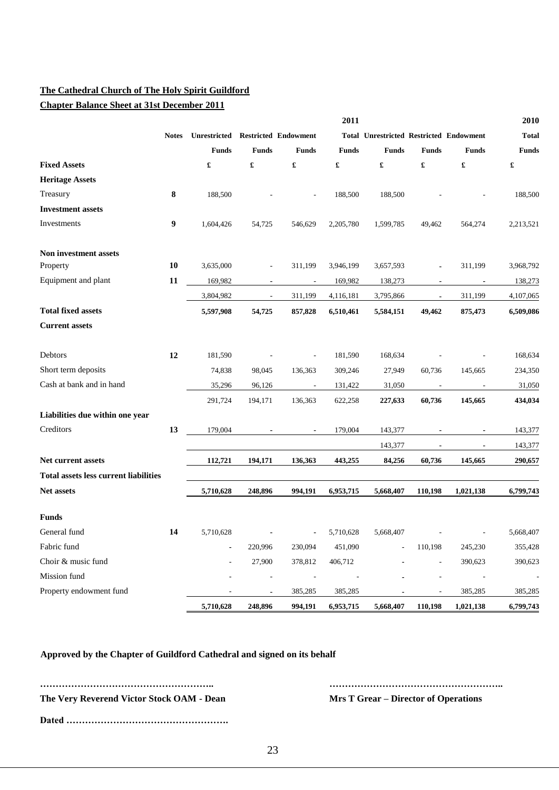**Chapter Balance Sheet at 31st December 2011**

|                                              |              |                                   |                          |                          | 2011                     |                                                |                          |                          | 2010         |
|----------------------------------------------|--------------|-----------------------------------|--------------------------|--------------------------|--------------------------|------------------------------------------------|--------------------------|--------------------------|--------------|
|                                              | <b>Notes</b> | Unrestricted Restricted Endowment |                          |                          |                          | <b>Total Unrestricted Restricted Endowment</b> |                          |                          | <b>Total</b> |
|                                              |              | <b>Funds</b>                      | <b>Funds</b>             | <b>Funds</b>             | <b>Funds</b>             | <b>Funds</b>                                   | <b>Funds</b>             | <b>Funds</b>             | <b>Funds</b> |
| <b>Fixed Assets</b>                          |              | $\pmb{\mathfrak{L}}$              | £                        | £                        | £                        | $\pmb{\mathfrak{L}}$                           | £                        | £                        | £            |
| <b>Heritage Assets</b>                       |              |                                   |                          |                          |                          |                                                |                          |                          |              |
| Treasury                                     | 8            | 188,500                           |                          |                          | 188,500                  | 188,500                                        |                          |                          | 188,500      |
| <b>Investment</b> assets                     |              |                                   |                          |                          |                          |                                                |                          |                          |              |
| Investments                                  | 9            | 1,604,426                         | 54,725                   | 546,629                  | 2,205,780                | 1,599,785                                      | 49,462                   | 564,274                  | 2,213,521    |
| Non investment assets                        |              |                                   |                          |                          |                          |                                                |                          |                          |              |
| Property                                     | <b>10</b>    | 3,635,000                         | ÷                        | 311,199                  | 3,946,199                | 3,657,593                                      | $\blacksquare$           | 311,199                  | 3,968,792    |
| Equipment and plant                          | 11           | 169,982                           | $\overline{\phantom{a}}$ | $\overline{\phantom{a}}$ | 169,982                  | 138,273                                        | $\blacksquare$           | $\blacksquare$           | 138,273      |
|                                              |              | 3,804,982                         | $\overline{\phantom{a}}$ | 311,199                  | 4,116,181                | 3,795,866                                      | $\overline{\phantom{a}}$ | 311,199                  | 4,107,065    |
| <b>Total fixed assets</b>                    |              | 5,597,908                         | 54,725                   | 857,828                  | 6,510,461                | 5,584,151                                      | 49,462                   | 875,473                  | 6,509,086    |
| <b>Current assets</b>                        |              |                                   |                          |                          |                          |                                                |                          |                          |              |
| Debtors                                      | 12           | 181,590                           |                          | $\overline{a}$           | 181,590                  | 168,634                                        |                          |                          | 168,634      |
| Short term deposits                          |              | 74,838                            | 98,045                   | 136,363                  | 309,246                  | 27,949                                         | 60,736                   | 145,665                  | 234,350      |
| Cash at bank and in hand                     |              | 35,296                            | 96,126                   | $\overline{\phantom{a}}$ | 131,422                  | 31,050                                         | $\overline{\phantom{a}}$ | $\overline{\phantom{a}}$ | 31,050       |
|                                              |              | 291,724                           | 194,171                  | 136,363                  | 622,258                  | 227,633                                        | 60,736                   | 145,665                  | 434,034      |
| Liabilities due within one year              |              |                                   |                          |                          |                          |                                                |                          |                          |              |
| Creditors                                    | 13           | 179,004                           |                          |                          | 179,004                  | 143,377                                        | $\blacksquare$           | $\blacksquare$           | 143,377      |
|                                              |              |                                   |                          |                          |                          | 143,377                                        | $\blacksquare$           | $\blacksquare$           | 143,377      |
| Net current assets                           |              | 112,721                           | 194,171                  | 136,363                  | 443,255                  | 84,256                                         | 60,736                   | 145,665                  | 290,657      |
| <b>Total assets less current liabilities</b> |              |                                   |                          |                          |                          |                                                |                          |                          |              |
| <b>Net assets</b>                            |              | 5,710,628                         | 248,896                  | 994,191                  | 6,953,715                | 5,668,407                                      | 110,198                  | 1,021,138                | 6,799,743    |
| <b>Funds</b>                                 |              |                                   |                          |                          |                          |                                                |                          |                          |              |
| General fund                                 | 14           | 5,710,628                         |                          |                          | 5,710,628                | 5.668.407                                      |                          |                          | 5.668.407    |
| Fabric fund                                  |              |                                   | 220,996                  | 230,094                  | 451,090                  |                                                | 110,198                  | 245,230                  | 355,428      |
| Choir & music fund                           |              |                                   | 27,900                   | 378,812                  | 406,712                  |                                                | $\overline{\phantom{a}}$ | 390,623                  | 390,623      |
| Mission fund                                 |              |                                   | $\overline{a}$           | $\overline{\phantom{a}}$ | $\overline{\phantom{a}}$ |                                                | $\overline{\phantom{a}}$ | $\overline{\phantom{a}}$ |              |
| Property endowment fund                      |              |                                   | $\blacksquare$           | 385,285                  | 385,285                  |                                                |                          | 385,285                  | 385,285      |
|                                              |              | 5,710,628                         | 248,896                  | 994,191                  | 6,953,715                | 5,668,407                                      | 110,198                  | 1,021,138                | 6,799,743    |

**Approved by the Chapter of Guildford Cathedral and signed on its behalf** 

**……………………………………………….. ……………………………………………….. The Very Reverend Victor Stock OAM - Dean Mrs T Grear – Director of Operations Dated …………………………………………….**

23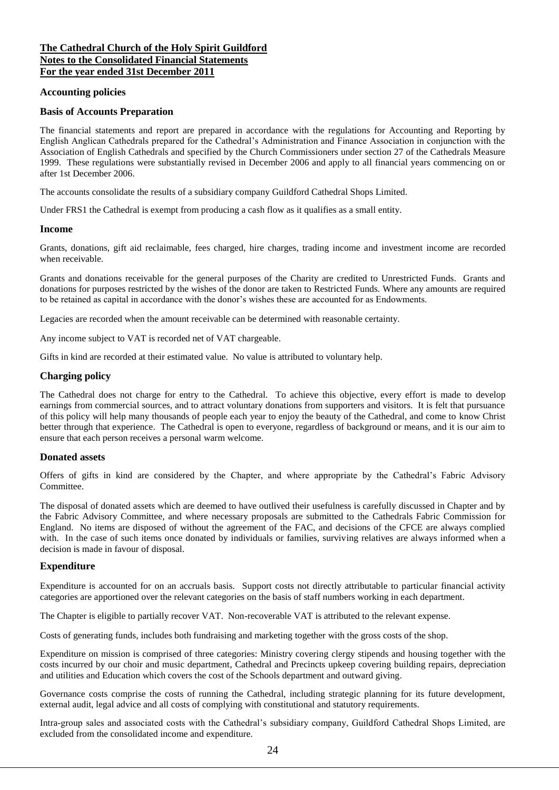#### **The Cathedral Church of the Holy Spirit Guildford Notes to the Consolidated Financial Statements For the year ended 31st December 2011**

#### **Accounting policies**

#### **Basis of Accounts Preparation**

The financial statements and report are prepared in accordance with the regulations for Accounting and Reporting by English Anglican Cathedrals prepared for the Cathedral's Administration and Finance Association in conjunction with the Association of English Cathedrals and specified by the Church Commissioners under section 27 of the Cathedrals Measure 1999. These regulations were substantially revised in December 2006 and apply to all financial years commencing on or after 1st December 2006.

The accounts consolidate the results of a subsidiary company Guildford Cathedral Shops Limited.

Under FRS1 the Cathedral is exempt from producing a cash flow as it qualifies as a small entity.

#### **Income**

Grants, donations, gift aid reclaimable, fees charged, hire charges, trading income and investment income are recorded when receivable.

Grants and donations receivable for the general purposes of the Charity are credited to Unrestricted Funds. Grants and donations for purposes restricted by the wishes of the donor are taken to Restricted Funds. Where any amounts are required to be retained as capital in accordance with the donor's wishes these are accounted for as Endowments.

Legacies are recorded when the amount receivable can be determined with reasonable certainty.

Any income subject to VAT is recorded net of VAT chargeable.

Gifts in kind are recorded at their estimated value. No value is attributed to voluntary help.

#### **Charging policy**

The Cathedral does not charge for entry to the Cathedral. To achieve this objective, every effort is made to develop earnings from commercial sources, and to attract voluntary donations from supporters and visitors. It is felt that pursuance of this policy will help many thousands of people each year to enjoy the beauty of the Cathedral, and come to know Christ better through that experience. The Cathedral is open to everyone, regardless of background or means, and it is our aim to ensure that each person receives a personal warm welcome.

#### **Donated assets**

Offers of gifts in kind are considered by the Chapter, and where appropriate by the Cathedral's Fabric Advisory Committee.

The disposal of donated assets which are deemed to have outlived their usefulness is carefully discussed in Chapter and by the Fabric Advisory Committee, and where necessary proposals are submitted to the Cathedrals Fabric Commission for England. No items are disposed of without the agreement of the FAC, and decisions of the CFCE are always complied with. In the case of such items once donated by individuals or families, surviving relatives are always informed when a decision is made in favour of disposal.

#### **Expenditure**

Expenditure is accounted for on an accruals basis. Support costs not directly attributable to particular financial activity categories are apportioned over the relevant categories on the basis of staff numbers working in each department.

The Chapter is eligible to partially recover VAT. Non-recoverable VAT is attributed to the relevant expense.

Costs of generating funds, includes both fundraising and marketing together with the gross costs of the shop.

Expenditure on mission is comprised of three categories: Ministry covering clergy stipends and housing together with the costs incurred by our choir and music department, Cathedral and Precincts upkeep covering building repairs, depreciation and utilities and Education which covers the cost of the Schools department and outward giving.

Governance costs comprise the costs of running the Cathedral, including strategic planning for its future development, external audit, legal advice and all costs of complying with constitutional and statutory requirements.

Intra-group sales and associated costs with the Cathedral's subsidiary company, Guildford Cathedral Shops Limited, are excluded from the consolidated income and expenditure.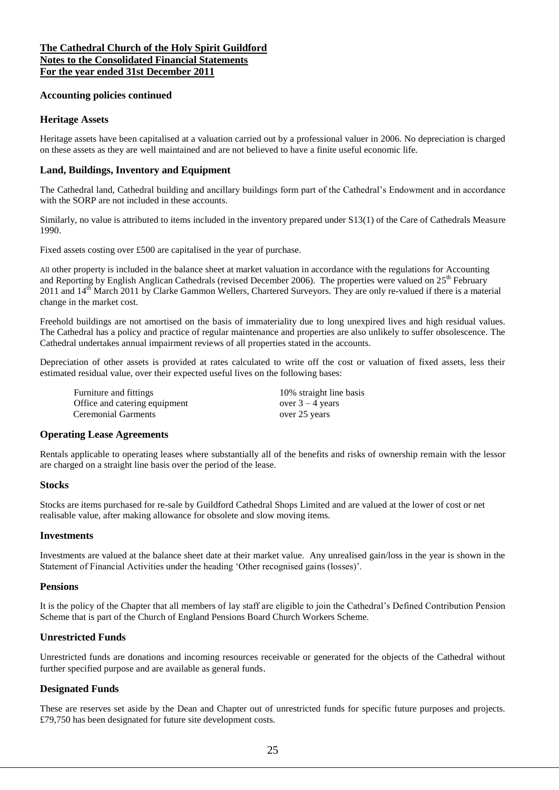#### **The Cathedral Church of the Holy Spirit Guildford Notes to the Consolidated Financial Statements For the year ended 31st December 2011**

#### **Accounting policies continued**

#### **Heritage Assets**

Heritage assets have been capitalised at a valuation carried out by a professional valuer in 2006. No depreciation is charged on these assets as they are well maintained and are not believed to have a finite useful economic life.

### **Land, Buildings, Inventory and Equipment**

The Cathedral land, Cathedral building and ancillary buildings form part of the Cathedral's Endowment and in accordance with the SORP are not included in these accounts.

Similarly, no value is attributed to items included in the inventory prepared under S13(1) of the Care of Cathedrals Measure 1990.

Fixed assets costing over £500 are capitalised in the year of purchase.

All other property is included in the balance sheet at market valuation in accordance with the regulations for Accounting and Reporting by English Anglican Cathedrals (revised December 2006). The properties were valued on 25<sup>th</sup> February  $2011$  and  $14<sup>th</sup>$  March 2011 by Clarke Gammon Wellers, Chartered Surveyors. They are only re-valued if there is a material change in the market cost.

Freehold buildings are not amortised on the basis of immateriality due to long unexpired lives and high residual values. The Cathedral has a policy and practice of regular maintenance and properties are also unlikely to suffer obsolescence. The Cathedral undertakes annual impairment reviews of all properties stated in the accounts.

Depreciation of other assets is provided at rates calculated to write off the cost or valuation of fixed assets, less their estimated residual value, over their expected useful lives on the following bases:

Furniture and fittings  $10\%$  straight line basis<br>Office and catering equipment over  $3 - 4$  years Office and catering equipment Ceremonial Garments over 25 years

#### **Operating Lease Agreements**

Rentals applicable to operating leases where substantially all of the benefits and risks of ownership remain with the lessor are charged on a straight line basis over the period of the lease.

#### **Stocks**

Stocks are items purchased for re-sale by Guildford Cathedral Shops Limited and are valued at the lower of cost or net realisable value, after making allowance for obsolete and slow moving items.

#### **Investments**

Investments are valued at the balance sheet date at their market value. Any unrealised gain/loss in the year is shown in the Statement of Financial Activities under the heading 'Other recognised gains (losses)'.

#### **Pensions**

It is the policy of the Chapter that all members of lay staff are eligible to join the Cathedral's Defined Contribution Pension Scheme that is part of the Church of England Pensions Board Church Workers Scheme.

#### **Unrestricted Funds**

Unrestricted funds are donations and incoming resources receivable or generated for the objects of the Cathedral without further specified purpose and are available as general funds.

#### **Designated Funds**

These are reserves set aside by the Dean and Chapter out of unrestricted funds for specific future purposes and projects. £79,750 has been designated for future site development costs.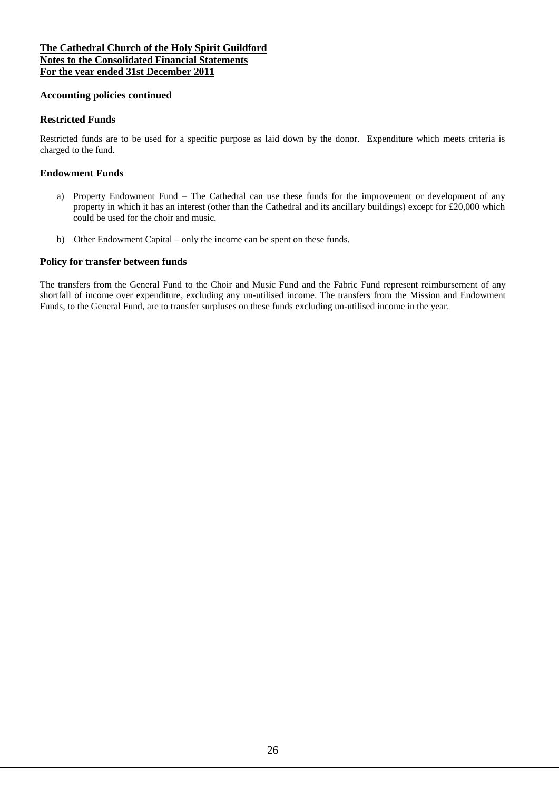### **The Cathedral Church of the Holy Spirit Guildford Notes to the Consolidated Financial Statements For the year ended 31st December 2011**

#### **Accounting policies continued**

#### **Restricted Funds**

Restricted funds are to be used for a specific purpose as laid down by the donor. Expenditure which meets criteria is charged to the fund.

#### **Endowment Funds**

- a) Property Endowment Fund The Cathedral can use these funds for the improvement or development of any property in which it has an interest (other than the Cathedral and its ancillary buildings) except for £20,000 which could be used for the choir and music.
- b) Other Endowment Capital only the income can be spent on these funds.

#### **Policy for transfer between funds**

The transfers from the General Fund to the Choir and Music Fund and the Fabric Fund represent reimbursement of any shortfall of income over expenditure, excluding any un-utilised income. The transfers from the Mission and Endowment Funds, to the General Fund, are to transfer surpluses on these funds excluding un-utilised income in the year.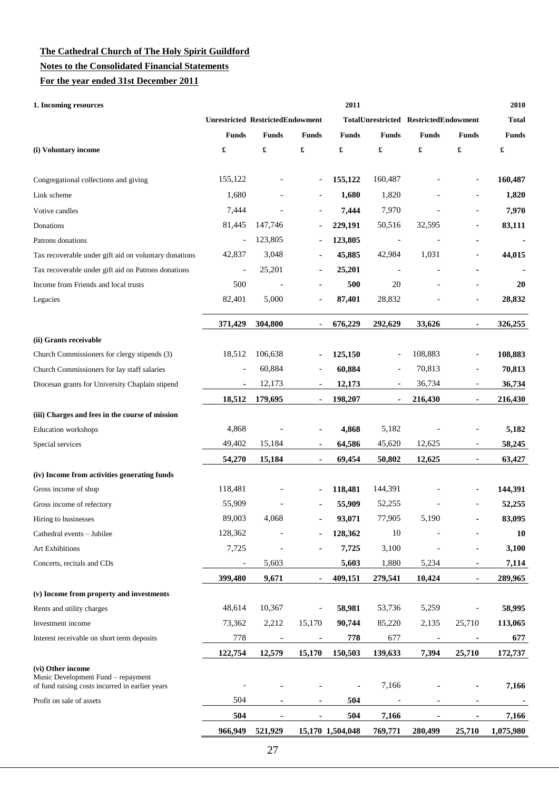#### **Notes to the Consolidated Financial Statements**

**For the year ended 31st December 2011**

| 1. Incoming resources                                                                                      |                                         | 2011           |                |                  |                          |                                       |                              | 2010         |
|------------------------------------------------------------------------------------------------------------|-----------------------------------------|----------------|----------------|------------------|--------------------------|---------------------------------------|------------------------------|--------------|
|                                                                                                            | <b>Unrestricted RestrictedEndowment</b> |                |                |                  |                          | TotalUnrestricted RestrictedEndowment |                              | <b>Total</b> |
|                                                                                                            | <b>Funds</b>                            | <b>Funds</b>   | <b>Funds</b>   | <b>Funds</b>     | <b>Funds</b>             | <b>Funds</b>                          | <b>Funds</b>                 | <b>Funds</b> |
| (i) Voluntary income                                                                                       | £                                       | £              | £              | £                | $\pmb{\mathfrak{L}}$     | $\pmb{\mathfrak{L}}$                  | £                            | £            |
| Congregational collections and giving                                                                      | 155,122                                 |                | $\overline{a}$ | 155,122          | 160,487                  |                                       |                              | 160,487      |
| Link scheme                                                                                                | 1,680                                   |                |                | 1,680            | 1,820                    |                                       |                              | 1,820        |
| Votive candles                                                                                             | 7,444                                   |                |                | 7,444            | 7,970                    |                                       | $\overline{a}$               | 7,970        |
| Donations                                                                                                  | 81,445                                  | 147,746        | $\blacksquare$ | 229,191          | 50,516                   | 32,595                                |                              | 83,111       |
| Patrons donations                                                                                          | $\overline{a}$                          | 123,805        |                | 123,805          | $\overline{\phantom{a}}$ |                                       |                              |              |
| Tax recoverable under gift aid on voluntary donations                                                      | 42,837                                  | 3,048          |                | 45,885           | 42,984                   | 1,031                                 |                              | 44,015       |
| Tax recoverable under gift aid on Patrons donations                                                        | $\overline{a}$                          | 25,201         | ÷              | 25,201           | $\overline{\phantom{a}}$ |                                       |                              |              |
| Income from Friends and local trusts                                                                       | 500                                     | $\overline{a}$ |                | 500              | 20                       |                                       |                              | 20           |
| Legacies                                                                                                   | 82,401                                  | 5,000          | ä,             | 87,401           | 28,832                   |                                       |                              | 28,832       |
|                                                                                                            | 371,429                                 | 304,800        |                | 676,229          | 292,629                  | 33,626                                |                              | 326,255      |
| (ii) Grants receivable                                                                                     |                                         |                |                |                  |                          |                                       |                              |              |
| Church Commissioners for clergy stipends (3)                                                               | 18,512                                  | 106,638        | $\blacksquare$ | 125,150          | $\overline{a}$           | 108,883                               |                              | 108,883      |
| Church Commissioners for lay staff salaries                                                                |                                         | 60,884         |                | 60,884           |                          | 70,813                                | $\overline{a}$               | 70,813       |
| Diocesan grants for University Chaplain stipend                                                            | $\blacksquare$                          | 12,173         | $\blacksquare$ | 12,173           | $\overline{\phantom{a}}$ | 36,734                                | $\qquad \qquad \blacksquare$ | 36,734       |
|                                                                                                            | 18,512                                  | 179,695        | $\blacksquare$ | 198,207          | ٠                        | 216,430                               | ×,                           | 216,430      |
| (iii) Charges and fees in the course of mission                                                            |                                         |                |                |                  |                          |                                       |                              |              |
| <b>Education</b> workshops                                                                                 | 4,868                                   |                | ۰              | 4,868            | 5,182                    |                                       |                              | 5,182        |
| Special services                                                                                           | 49,402                                  | 15,184         |                | 64,586           | 45,620                   | 12,625                                | $\overline{\phantom{a}}$     | 58,245       |
|                                                                                                            | 54,270                                  | 15,184         |                | 69,454           | 50,802                   | 12,625                                |                              | 63,427       |
| (iv) Income from activities generating funds                                                               |                                         |                |                |                  |                          |                                       |                              |              |
| Gross income of shop                                                                                       | 118,481                                 |                |                | 118,481          | 144,391                  |                                       |                              | 144,391      |
| Gross income of refectory                                                                                  | 55,909                                  |                |                | 55,909           | 52,255                   |                                       |                              | 52,255       |
| Hiring to businesses                                                                                       | 89,003                                  | 4,068          |                | 93,071           | 77,905                   | 5,190                                 |                              | 83.095       |
| Cathedral events - Jubilee                                                                                 | 128,362                                 |                |                | 128,362          | 10                       |                                       |                              | 10           |
| Art Exhibitions                                                                                            | 7,725                                   |                |                | 7,725            | 3,100                    |                                       | $\overline{\phantom{0}}$     | 3,100        |
| Concerts, recitals and CDs                                                                                 | -                                       | 5,603          |                | 5,603            | 1,880                    | 5,234                                 |                              | 7,114        |
|                                                                                                            | 399,480                                 | 9,671          |                | 409,151          | 279,541                  | 10,424                                |                              | 289,965      |
| (v) Income from property and investments                                                                   |                                         |                |                |                  |                          |                                       |                              |              |
| Rents and utility charges                                                                                  | 48,614                                  | 10,367         |                | 58,981           | 53,736                   | 5,259                                 |                              | 58,995       |
| Investment income                                                                                          | 73,362                                  | 2,212          | 15,170         | 90,744           | 85,220                   | 2,135                                 | 25,710                       | 113,065      |
| Interest receivable on short term deposits                                                                 | 778                                     | $\blacksquare$ | $\blacksquare$ | 778              | 677                      | $\blacksquare$                        | ٠                            | 677          |
|                                                                                                            | 122,754                                 | 12,579         | 15,170         | 150,503          | 139,633                  | 7,394                                 | 25,710                       | 172,737      |
| (vi) Other income<br>Music Development Fund – repayment<br>of fund raising costs incurred in earlier years |                                         |                |                |                  | 7,166                    |                                       |                              | 7,166        |
| Profit on sale of assets                                                                                   | 504                                     |                | ٠              | 504              |                          |                                       | $\blacksquare$               |              |
|                                                                                                            | 504                                     | ۰              | $\blacksquare$ | 504              | 7,166                    | $\blacksquare$                        | ٠                            | 7,166        |
|                                                                                                            | 966,949                                 | 521,929        |                | 15,170 1,504,048 | 769,771                  | 280,499                               | 25,710                       | 1,075,980    |
|                                                                                                            |                                         |                |                |                  |                          |                                       |                              |              |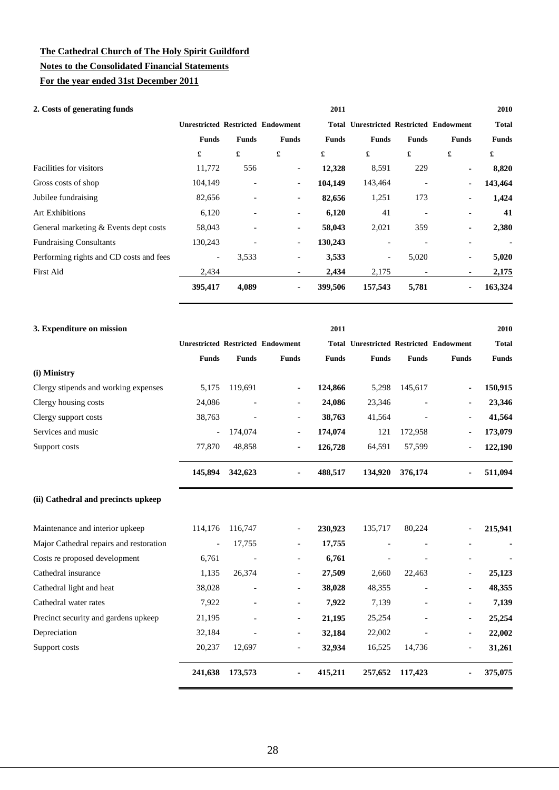### **The Cathedral Church of The Holy Spirit Guildford Notes to the Consolidated Financial Statements**

**For the year ended 31st December 2011**

### **2. Costs of generating funds 2011 2010**

| $\omega$ . Costs of generating funds    |                          |                          |                                          | 40 L L       |                                                |              |              | 401 V        |
|-----------------------------------------|--------------------------|--------------------------|------------------------------------------|--------------|------------------------------------------------|--------------|--------------|--------------|
|                                         |                          |                          | <b>Unrestricted Restricted Endowment</b> |              | <b>Total Unrestricted Restricted Endowment</b> |              |              | <b>Total</b> |
|                                         | <b>Funds</b>             | <b>Funds</b>             | <b>Funds</b>                             | <b>Funds</b> | <b>Funds</b>                                   | <b>Funds</b> | <b>Funds</b> | <b>Funds</b> |
|                                         | £                        | £                        | £                                        | £            | £                                              | £            | £            | £            |
| Facilities for visitors                 | 11,772                   | 556                      | $\overline{\phantom{a}}$                 | 12,328       | 8,591                                          | 229          | ۰.           | 8,820        |
| Gross costs of shop                     | 104,149                  | $\overline{\phantom{a}}$ | $\overline{\phantom{a}}$                 | 104,149      | 143,464                                        |              |              | 143,464      |
| Jubilee fundraising                     | 82,656                   | $\overline{\phantom{a}}$ | $\overline{\phantom{a}}$                 | 82,656       | 1,251                                          | 173          | ٠            | 1,424        |
| <b>Art Exhibitions</b>                  | 6,120                    | ٠                        | $\overline{\phantom{a}}$                 | 6,120        | 41                                             |              |              | 41           |
| General marketing & Events dept costs   | 58,043                   | $\overline{\phantom{a}}$ | $\overline{\phantom{a}}$                 | 58,043       | 2,021                                          | 359          |              | 2,380        |
| <b>Fundraising Consultants</b>          | 130,243                  | $\overline{\phantom{a}}$ | $\overline{\phantom{a}}$                 | 130,243      |                                                |              |              |              |
| Performing rights and CD costs and fees | $\overline{\phantom{a}}$ | 3,533                    | $\overline{\phantom{a}}$                 | 3,533        | $\overline{\phantom{a}}$                       | 5,020        |              | 5,020        |
| First Aid                               | 2,434                    |                          | $\overline{\phantom{a}}$                 | 2,434        | 2,175                                          |              |              | 2,175        |
|                                         | 395,417                  | 4,089                    | ٠                                        | 399,506      | 157,543                                        | 5,781        |              | 163,324      |
|                                         |                          |                          |                                          |              |                                                |              |              |              |

|              |                                                                                            | 2011                                     |              |                                       |                                      | 2010                                                     |
|--------------|--------------------------------------------------------------------------------------------|------------------------------------------|--------------|---------------------------------------|--------------------------------------|----------------------------------------------------------|
|              |                                                                                            |                                          |              |                                       |                                      | <b>Total</b>                                             |
| <b>Funds</b> | <b>Funds</b>                                                                               | <b>Funds</b>                             | <b>Funds</b> | <b>Funds</b>                          | <b>Funds</b>                         | <b>Funds</b>                                             |
|              |                                                                                            |                                          |              |                                       |                                      |                                                          |
| 119,691      | $\overline{\phantom{a}}$                                                                   |                                          |              | 145,617                               | ۰.                                   | 150,915                                                  |
| ۰            | $\overline{\phantom{a}}$                                                                   |                                          |              |                                       |                                      | 23,346                                                   |
| ۰            | $\overline{\phantom{a}}$                                                                   |                                          |              | ٠                                     | ٠                                    | 41,564                                                   |
| 174,074      | $\overline{\phantom{a}}$                                                                   | 174,074                                  | 121          | 172,958                               |                                      | 173,079                                                  |
| 48,858       | $\overline{\phantom{a}}$                                                                   | 126,728                                  |              |                                       | ۰.                                   | 122,190                                                  |
| 342,623      | $\blacksquare$                                                                             | 488,517                                  |              | 376,174                               |                                      | 511,094                                                  |
|              |                                                                                            |                                          |              |                                       |                                      |                                                          |
|              | <b>Funds</b><br>5,175<br>24,086<br>38,763<br>$\overline{\phantom{0}}$<br>77,870<br>145,894 | <b>Unrestricted Restricted Endowment</b> |              | 124,866<br>24,086<br>38,763<br>64,591 | 5,298<br>23,346<br>41,564<br>134,920 | <b>Total Unrestricted Restricted Endowment</b><br>57,599 |

|                                         | 241,638 | 173,573                  | ٠                        | 415,211 | 257,652 | 117,423 | ٠                        | 375,075 |
|-----------------------------------------|---------|--------------------------|--------------------------|---------|---------|---------|--------------------------|---------|
| Support costs                           | 20.237  | 12.697                   | $\overline{\phantom{a}}$ | 32,934  | 16,525  | 14.736  | $\overline{\phantom{0}}$ | 31,261  |
| Depreciation                            | 32,184  | ٠                        | $\overline{\phantom{a}}$ | 32,184  | 22,002  |         | -                        | 22,002  |
| Precinct security and gardens upkeep    | 21,195  | $\blacksquare$           | $\overline{\phantom{a}}$ | 21,195  | 25,254  |         | $\overline{\phantom{0}}$ | 25,254  |
| Cathedral water rates                   | 7,922   | $\blacksquare$           | $\overline{\phantom{a}}$ | 7,922   | 7,139   |         | -                        | 7,139   |
| Cathedral light and heat                | 38,028  | $\blacksquare$           | $\overline{\phantom{a}}$ | 38,028  | 48,355  |         | -                        | 48,355  |
| Cathedral insurance                     | 1,135   | 26,374                   | $\overline{\phantom{a}}$ | 27,509  | 2,660   | 22,463  | $\overline{\phantom{0}}$ | 25,123  |
| Costs re proposed development           | 6,761   | $\overline{\phantom{a}}$ | $\overline{\phantom{a}}$ | 6,761   |         |         |                          |         |
| Major Cathedral repairs and restoration | $ \,$   | 17,755                   | $\overline{\phantom{a}}$ | 17,755  |         |         |                          |         |
| Maintenance and interior upkeep         | 114,176 | 116,747                  | $\overline{\phantom{a}}$ | 230,923 | 135,717 | 80,224  | $\overline{\phantom{0}}$ | 215,941 |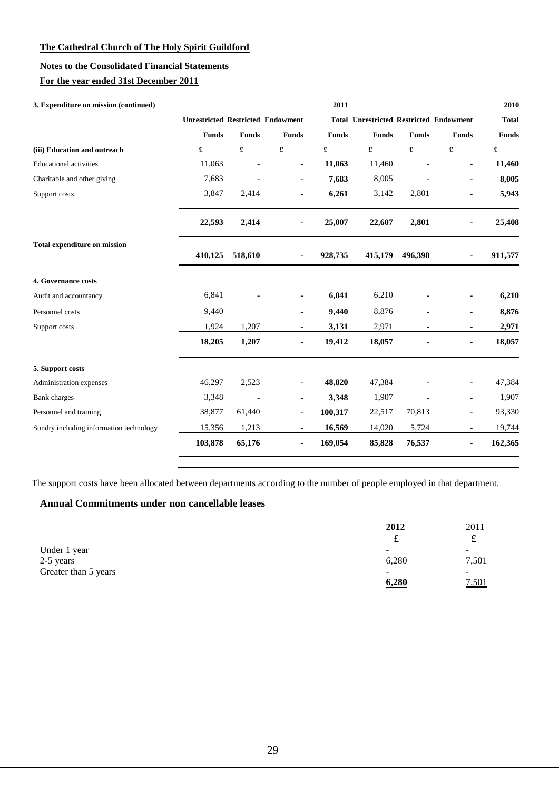### **Notes to the Consolidated Financial Statements**

### **For the year ended 31st December 2011**

| 3. Expenditure on mission (continued)   |              |                      |                                          | 2011         |                                                |              |                      | 2010                 |
|-----------------------------------------|--------------|----------------------|------------------------------------------|--------------|------------------------------------------------|--------------|----------------------|----------------------|
|                                         |              |                      | <b>Unrestricted Restricted Endowment</b> |              | <b>Total Unrestricted Restricted Endowment</b> |              |                      | <b>Total</b>         |
|                                         | <b>Funds</b> | <b>Funds</b>         | <b>Funds</b>                             | <b>Funds</b> | <b>Funds</b>                                   | <b>Funds</b> | <b>Funds</b>         | <b>Funds</b>         |
| (iii) Education and outreach            | £            | $\pmb{\mathfrak{L}}$ | £                                        | £            | £                                              | £            | $\pmb{\mathfrak{L}}$ | $\pmb{\mathfrak{L}}$ |
| <b>Educational activities</b>           | 11,063       |                      | ٠                                        | 11,063       | 11,460                                         |              |                      | 11,460               |
| Charitable and other giving             | 7,683        |                      |                                          | 7,683        | 8,005                                          |              |                      | 8,005                |
| Support costs                           | 3,847        | 2,414                | ٠                                        | 6,261        | 3,142                                          | 2,801        | ä,                   | 5,943                |
|                                         | 22,593       | 2,414                |                                          | 25,007       | 22,607                                         | 2,801        |                      | 25,408               |
| <b>Total expenditure on mission</b>     | 410,125      | 518,610              | ٠                                        | 928,735      | 415,179                                        | 496,398      |                      | 911,577              |
| 4. Governance costs                     |              |                      |                                          |              |                                                |              |                      |                      |
| Audit and accountancy                   | 6,841        |                      |                                          | 6,841        | 6,210                                          |              |                      | 6,210                |
| Personnel costs                         | 9,440        |                      |                                          | 9,440        | 8,876                                          |              |                      | 8,876                |
| Support costs                           | 1,924        | 1,207                |                                          | 3,131        | 2,971                                          |              | $\blacksquare$       | 2,971                |
|                                         | 18,205       | 1,207                | ۰                                        | 19,412       | 18,057                                         |              | ٠                    | 18,057               |
| 5. Support costs                        |              |                      |                                          |              |                                                |              |                      |                      |
| Administration expenses                 | 46,297       | 2,523                |                                          | 48,820       | 47,384                                         |              |                      | 47,384               |
| <b>Bank</b> charges                     | 3,348        |                      |                                          | 3,348        | 1,907                                          |              |                      | 1,907                |
| Personnel and training                  | 38,877       | 61,440               |                                          | 100,317      | 22,517                                         | 70,813       |                      | 93,330               |
| Sundry including information technology | 15,356       | 1,213                |                                          | 16,569       | 14,020                                         | 5,724        |                      | 19,744               |
|                                         | 103,878      | 65,176               | ٠                                        | 169,054      | 85,828                                         | 76,537       | $\blacksquare$       | 162,365              |

The support costs have been allocated between departments according to the number of people employed in that department.

### **Annual Commitments under non cancellable leases**

|                      | 2012                | 2011          |
|----------------------|---------------------|---------------|
|                      | £                   | ىل            |
| Under 1 year         | -                   | -             |
| 2-5 years            | 6,280               | 7,501         |
| Greater than 5 years | <u>in the state</u> | $\frac{1}{2}$ |
|                      | 6,280               | 7,501         |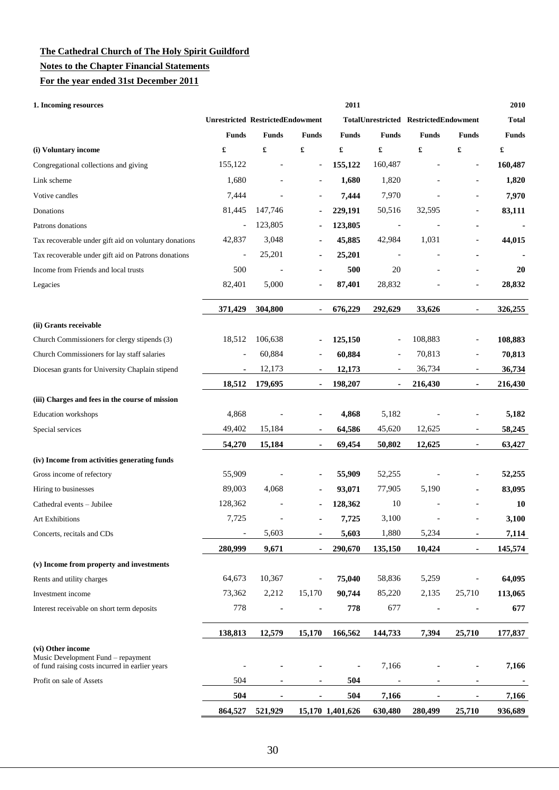#### **Notes to the Chapter Financial Statements**

**For the year ended 31st December 2011**

| 1. Incoming resources                                                                                      | 2011                                    |                |                          |                  |                          |                                       |                |              |  |
|------------------------------------------------------------------------------------------------------------|-----------------------------------------|----------------|--------------------------|------------------|--------------------------|---------------------------------------|----------------|--------------|--|
|                                                                                                            | <b>Unrestricted RestrictedEndowment</b> |                |                          |                  |                          | TotalUnrestricted RestrictedEndowment |                | <b>Total</b> |  |
|                                                                                                            | <b>Funds</b>                            | <b>Funds</b>   | <b>Funds</b>             | <b>Funds</b>     | <b>Funds</b>             | <b>Funds</b>                          | <b>Funds</b>   | <b>Funds</b> |  |
| (i) Voluntary income                                                                                       | $\pmb{\mathfrak{L}}$                    | £              | £                        | £                | £                        | £                                     | £              | £            |  |
| Congregational collections and giving                                                                      | 155,122                                 |                | $\overline{\phantom{a}}$ | 155,122          | 160,487                  |                                       |                | 160,487      |  |
| Link scheme                                                                                                | 1,680                                   |                |                          | 1,680            | 1,820                    |                                       |                | 1,820        |  |
| Votive candles                                                                                             | 7,444                                   | $\overline{a}$ | $\overline{\phantom{0}}$ | 7,444            | 7,970                    | ÷,                                    | $\overline{a}$ | 7,970        |  |
| Donations                                                                                                  | 81,445                                  | 147,746        |                          | 229,191          | 50,516                   | 32,595                                |                | 83,111       |  |
| Patrons donations                                                                                          | $\overline{\phantom{a}}$                | 123,805        |                          | 123,805          | $\overline{\phantom{a}}$ |                                       |                |              |  |
| Tax recoverable under gift aid on voluntary donations                                                      | 42,837                                  | 3,048          | $\blacksquare$           | 45,885           | 42,984                   | 1,031                                 |                | 44,015       |  |
| Tax recoverable under gift aid on Patrons donations                                                        | $\overline{\phantom{a}}$                | 25,201         |                          | 25,201           | $\overline{\phantom{a}}$ |                                       |                |              |  |
| Income from Friends and local trusts                                                                       | 500                                     |                |                          | 500              | 20                       |                                       |                | 20           |  |
| Legacies                                                                                                   | 82,401                                  | 5,000          | ×,                       | 87,401           | 28,832                   |                                       |                | 28,832       |  |
|                                                                                                            | 371,429                                 | 304,800        |                          | 676,229          | 292,629                  | 33,626                                |                | 326,255      |  |
| (ii) Grants receivable                                                                                     |                                         |                |                          |                  |                          |                                       |                |              |  |
| Church Commissioners for clergy stipends (3)                                                               | 18,512                                  | 106,638        |                          | 125,150          |                          | 108,883                               |                | 108,883      |  |
| Church Commissioners for lay staff salaries                                                                |                                         | 60,884         |                          | 60,884           | $\overline{\phantom{a}}$ | 70,813                                | $\overline{a}$ | 70,813       |  |
| Diocesan grants for University Chaplain stipend                                                            | $\blacksquare$                          | 12,173         | $\blacksquare$           | 12,173           | $\overline{\phantom{a}}$ | 36,734                                | -              | 36,734       |  |
|                                                                                                            | 18,512                                  | 179,695        |                          | 198,207          |                          | 216,430                               | ٠              | 216,430      |  |
| (iii) Charges and fees in the course of mission                                                            |                                         |                |                          |                  |                          |                                       |                |              |  |
| <b>Education</b> workshops                                                                                 | 4,868                                   |                |                          | 4,868            | 5,182                    |                                       |                | 5,182        |  |
| Special services                                                                                           | 49,402                                  | 15,184         | $\blacksquare$           | 64,586           | 45,620                   | 12,625                                | $\overline{a}$ | 58,245       |  |
|                                                                                                            | 54,270                                  | 15,184         |                          | 69,454           | 50,802                   | 12,625                                |                | 63,427       |  |
| (iv) Income from activities generating funds                                                               |                                         |                |                          |                  |                          |                                       |                |              |  |
| Gross income of refectory                                                                                  | 55,909                                  |                |                          | 55,909           | 52,255                   |                                       |                | 52,255       |  |
| Hiring to businesses                                                                                       | 89,003                                  | 4,068          |                          | 93,071           | 77,905                   | 5,190                                 |                | 83,095       |  |
| Cathedral events - Jubilee                                                                                 | 128,362                                 |                |                          | 128,362          | 10                       |                                       |                | <b>10</b>    |  |
| <b>Art Exhibitions</b>                                                                                     | 7,725                                   |                |                          | 7,725            | 3,100                    |                                       |                | 3,100        |  |
| Concerts, recitals and CDs                                                                                 | $\overline{\phantom{a}}$                | 5,603          |                          | 5,603            | 1,880                    | 5,234                                 |                | 7,114        |  |
|                                                                                                            | 280,999                                 | 9,671          | $\blacksquare$           | 290,670          | 135,150                  | 10,424                                | ۰              | 145,574      |  |
| (v) Income from property and investments                                                                   |                                         |                |                          |                  |                          |                                       |                |              |  |
| Rents and utility charges                                                                                  | 64,673                                  | 10,367         |                          | 75,040           | 58,836                   | 5,259                                 |                | 64,095       |  |
| Investment income                                                                                          | 73,362                                  | 2,212          | 15,170                   | 90.744           | 85,220                   | 2,135                                 | 25,710         | 113,065      |  |
| Interest receivable on short term deposits                                                                 | 778                                     |                |                          | 778              | 677                      | ä,                                    |                | 677          |  |
|                                                                                                            | 138,813                                 | 12,579         | 15,170                   | 166,562          | 144,733                  | 7,394                                 | 25,710         | 177,837      |  |
| (vi) Other income<br>Music Development Fund – repayment<br>of fund raising costs incurred in earlier years |                                         |                |                          |                  | 7,166                    |                                       |                | 7,166        |  |
| Profit on sale of Assets                                                                                   | 504                                     |                |                          | 504              |                          |                                       |                |              |  |
|                                                                                                            | 504                                     | $\blacksquare$ | $\blacksquare$           | 504              | 7,166                    | ٠                                     | ۰              | 7,166        |  |
|                                                                                                            | 864,527                                 | 521,929        |                          | 15,170 1,401,626 | 630,480                  | 280,499                               | 25,710         | 936,689      |  |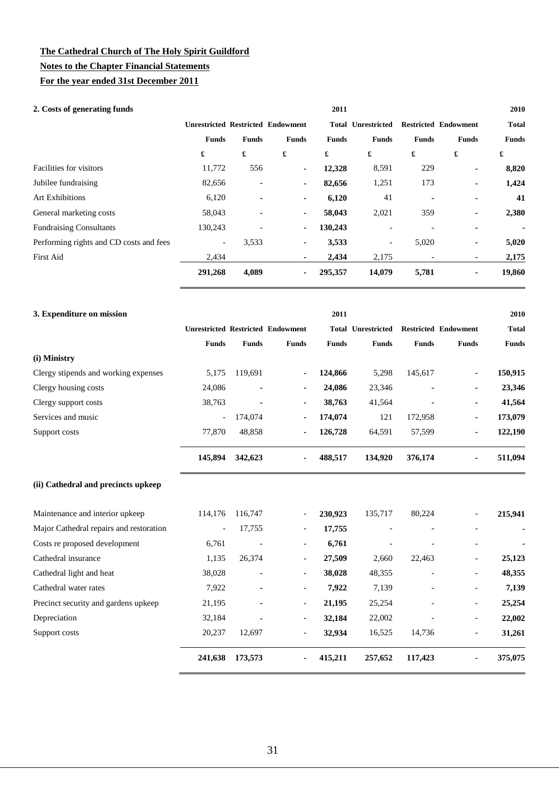### **Notes to the Chapter Financial Statements**

**For the year ended 31st December 2011**

| 2. Costs of generating funds            |                          |                |                                          | 2011         |                           |                          |                             | 2010         |
|-----------------------------------------|--------------------------|----------------|------------------------------------------|--------------|---------------------------|--------------------------|-----------------------------|--------------|
|                                         |                          |                | <b>Unrestricted Restricted Endowment</b> |              | <b>Total Unrestricted</b> |                          | <b>Restricted Endowment</b> | <b>Total</b> |
|                                         | <b>Funds</b>             | <b>Funds</b>   | <b>Funds</b>                             | <b>Funds</b> | <b>Funds</b>              | <b>Funds</b>             | <b>Funds</b>                | <b>Funds</b> |
|                                         | £                        | £              | £                                        | £            | £                         | £                        | £                           | £            |
| Facilities for visitors                 | 11,772                   | 556            | ٠.                                       | 12,328       | 8,591                     | 229                      | ۰                           | 8,820        |
| Jubilee fundraising                     | 82,656                   | ۰              | $\blacksquare$                           | 82,656       | 1,251                     | 173                      | ۰                           | 1,424        |
| <b>Art Exhibitions</b>                  | 6,120                    | $\blacksquare$ | ٠                                        | 6,120        | 41                        | ۰                        |                             | 41           |
| General marketing costs                 | 58,043                   | $\overline{a}$ | ٠                                        | 58,043       | 2,021                     | 359                      | ۰                           | 2,380        |
| <b>Fundraising Consultants</b>          | 130,243                  |                | $\blacksquare$                           | 130,243      |                           |                          |                             |              |
| Performing rights and CD costs and fees | $\overline{\phantom{a}}$ | 3,533          | ۰.                                       | 3,533        | $\overline{\phantom{a}}$  | 5,020                    | ٠                           | 5,020        |
| <b>First Aid</b>                        | 2,434                    |                | ٠                                        | 2,434        | 2,175                     | $\overline{\phantom{a}}$ | ٠                           | 2,175        |
|                                         | 291,268                  | 4,089          | ٠                                        | 295,357      | 14,079                    | 5,781                    | ۰                           | 19,860       |

| 3. Expenditure on mission               |                          |                |                                          | 2011         |                           |              |                             | 2010         |
|-----------------------------------------|--------------------------|----------------|------------------------------------------|--------------|---------------------------|--------------|-----------------------------|--------------|
|                                         |                          |                | <b>Unrestricted Restricted Endowment</b> |              | <b>Total Unrestricted</b> |              | <b>Restricted Endowment</b> | <b>Total</b> |
|                                         | <b>Funds</b>             | <b>Funds</b>   | <b>Funds</b>                             | <b>Funds</b> | <b>Funds</b>              | <b>Funds</b> | <b>Funds</b>                | <b>Funds</b> |
| (i) Ministry                            |                          |                |                                          |              |                           |              |                             |              |
| Clergy stipends and working expenses    | 5,175                    | 119,691        | ۰                                        | 124,866      | 5,298                     | 145,617      |                             | 150,915      |
| Clergy housing costs                    | 24,086                   | $\blacksquare$ |                                          | 24,086       | 23,346                    |              | ٠                           | 23,346       |
| Clergy support costs                    | 38,763                   |                |                                          | 38,763       | 41,564                    |              | $\blacksquare$              | 41,564       |
| Services and music                      | $\overline{\phantom{a}}$ | 174,074        | ٠                                        | 174,074      | 121                       | 172,958      |                             | 173,079      |
| Support costs                           | 77,870                   | 48,858         |                                          | 126,728      | 64,591                    | 57,599       |                             | 122,190      |
|                                         | 145,894                  | 342,623        |                                          | 488,517      | 134,920                   | 376,174      |                             | 511,094      |
| (ii) Cathedral and precincts upkeep     |                          |                |                                          |              |                           |              |                             |              |
| Maintenance and interior upkeep         | 114,176                  | 116,747        |                                          | 230,923      | 135,717                   | 80,224       |                             | 215,941      |
| Major Cathedral repairs and restoration | $\overline{\phantom{a}}$ | 17,755         |                                          | 17,755       |                           |              |                             |              |
| Costs re proposed development           | 6,761                    |                | $\overline{\phantom{a}}$                 | 6,761        |                           |              | $\overline{\phantom{a}}$    |              |
| Cathedral insurance                     | 1,135                    | 26,374         | $\overline{\phantom{a}}$                 | 27,509       | 2,660                     | 22,463       | $\overline{\phantom{a}}$    | 25,123       |
| Cathedral light and heat                | 38,028                   | ٠              | $\overline{\phantom{a}}$                 | 38,028       | 48,355                    |              | $\overline{\phantom{a}}$    | 48,355       |
| Cathedral water rates                   | 7,922                    |                | $\overline{\phantom{a}}$                 | 7,922        | 7,139                     |              | $\overline{\phantom{a}}$    | 7,139        |
| Precinct security and gardens upkeep    | 21,195                   |                | $\overline{\phantom{a}}$                 | 21,195       | 25,254                    |              | $\overline{\phantom{a}}$    | 25,254       |
| Depreciation                            | 32,184                   |                | $\overline{\phantom{a}}$                 | 32,184       | 22,002                    |              | $\overline{\phantom{a}}$    | 22,002       |
| Support costs                           | 20,237                   | 12,697         |                                          | 32,934       | 16,525                    | 14,736       |                             | 31,261       |
|                                         | 241,638                  | 173,573        |                                          | 415,211      | 257,652                   | 117,423      |                             | 375,075      |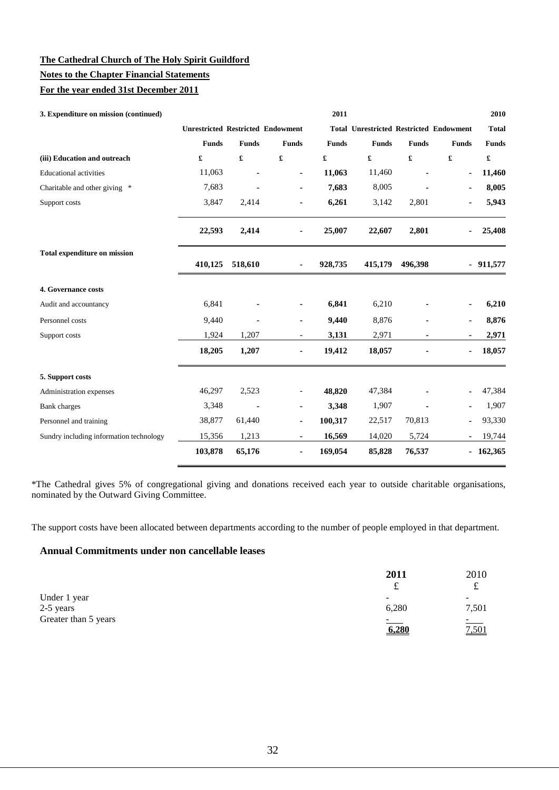### **Notes to the Chapter Financial Statements**

#### **For the year ended 31st December 2011**

| 3. Expenditure on mission (continued)   |                                          |                      |                          | 2011         |                                                |              |                      | 2010                 |
|-----------------------------------------|------------------------------------------|----------------------|--------------------------|--------------|------------------------------------------------|--------------|----------------------|----------------------|
|                                         | <b>Unrestricted Restricted Endowment</b> |                      |                          |              | <b>Total Unrestricted Restricted Endowment</b> |              |                      | <b>Total</b>         |
|                                         | <b>Funds</b>                             | <b>Funds</b>         | <b>Funds</b>             | <b>Funds</b> | <b>Funds</b>                                   | <b>Funds</b> | <b>Funds</b>         | <b>Funds</b>         |
| (iii) Education and outreach            | £                                        | $\pmb{\mathfrak{L}}$ | £                        | £            | $\pmb{\mathfrak{L}}$                           | £            | $\pmb{\mathfrak{L}}$ | $\pmb{\mathfrak{L}}$ |
| <b>Educational activities</b>           | 11,063                                   |                      | ۰                        | 11,063       | 11,460                                         |              | ä,                   | 11,460               |
| Charitable and other giving *           | 7,683                                    |                      | ٠                        | 7,683        | 8,005                                          |              | ÷                    | 8,005                |
| Support costs                           | 3,847                                    | 2,414                |                          | 6,261        | 3,142                                          | 2,801        |                      | 5,943                |
|                                         | 22,593                                   | 2,414                |                          | 25,007       | 22,607                                         | 2,801        | ۰                    | 25,408               |
| <b>Total expenditure on mission</b>     | 410,125                                  | 518,610              | $\blacksquare$           | 928,735      | 415,179                                        | 496,398      |                      | $-911,577$           |
| 4. Governance costs                     |                                          |                      |                          |              |                                                |              |                      |                      |
| Audit and accountancy                   | 6,841                                    |                      |                          | 6,841        | 6,210                                          |              |                      | 6,210                |
| Personnel costs                         | 9,440                                    |                      |                          | 9,440        | 8,876                                          |              | ۰                    | 8,876                |
| Support costs                           | 1,924                                    | 1,207                | $\overline{\phantom{a}}$ | 3,131        | 2,971                                          |              | ٠                    | 2,971                |
|                                         | 18,205                                   | 1,207                |                          | 19,412       | 18,057                                         |              | ٠                    | 18,057               |
| 5. Support costs                        |                                          |                      |                          |              |                                                |              |                      |                      |
| Administration expenses                 | 46,297                                   | 2,523                |                          | 48,820       | 47,384                                         |              |                      | 47,384               |
| <b>Bank</b> charges                     | 3,348                                    | ä,                   |                          | 3,348        | 1,907                                          |              |                      | 1,907                |
| Personnel and training                  | 38,877                                   | 61,440               |                          | 100,317      | 22,517                                         | 70,813       | ۰                    | 93,330               |
| Sundry including information technology | 15,356                                   | 1,213                | $\sim$                   | 16,569       | 14,020                                         | 5,724        | ٠                    | 19,744               |
|                                         | 103,878                                  | 65,176               | ۰                        | 169,054      | 85,828                                         | 76,537       |                      | $-162,365$           |

\*The Cathedral gives 5% of congregational giving and donations received each year to outside charitable organisations, nominated by the Outward Giving Committee.

The support costs have been allocated between departments according to the number of people employed in that department.

### **Annual Commitments under non cancellable leases**

|                      | 2011<br>ىد         | 2010<br>ىد |
|----------------------|--------------------|------------|
| Under 1 year         | -                  |            |
| 2-5 years            | 6,280              | 7,501      |
| Greater than 5 years | $\sim$ 1000 $\sim$ | $=$        |
|                      | 6.280              | 7,501      |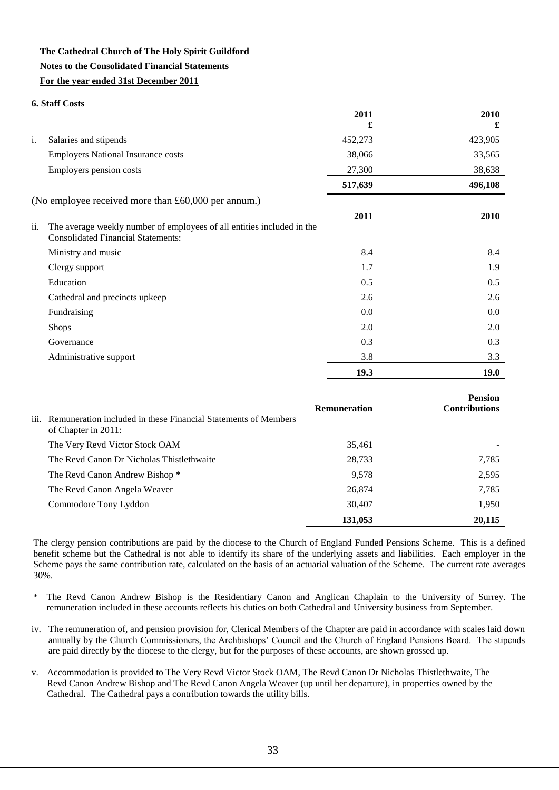### **The Cathedral Church of The Holy Spirit Guildford Notes to the Consolidated Financial Statements For the year ended 31st December 2011**

#### **6. Staff Costs**

|     |                                                                                                                     | 2011    | 2010        |
|-----|---------------------------------------------------------------------------------------------------------------------|---------|-------------|
|     |                                                                                                                     | £       | £           |
| i.  | Salaries and stipends                                                                                               | 452,273 | 423,905     |
|     | <b>Employers National Insurance costs</b>                                                                           | 38,066  | 33,565      |
|     | Employers pension costs                                                                                             | 27,300  | 38,638      |
|     |                                                                                                                     | 517,639 | 496,108     |
|     | (No employee received more than £60,000 per annum.)                                                                 |         |             |
|     |                                                                                                                     | 2011    | 2010        |
| ii. | The average weekly number of employees of all entities included in the<br><b>Consolidated Financial Statements:</b> |         |             |
|     | Ministry and music                                                                                                  | 8.4     | 8.4         |
|     | Clergy support                                                                                                      | 1.7     | 1.9         |
|     | Education                                                                                                           | 0.5     | 0.5         |
|     | Cathedral and precincts upkeep                                                                                      | 2.6     | 2.6         |
|     | Fundraising                                                                                                         | 0.0     | 0.0         |
|     | <b>Shops</b>                                                                                                        | 2.0     | 2.0         |
|     | Governance                                                                                                          | 0.3     | 0.3         |
|     | Administrative support                                                                                              | 3.8     | 3.3         |
|     |                                                                                                                     | 19.3    | <b>19.0</b> |

| iii. Remuneration included in these Financial Statements of Members<br>of Chapter in 2011: | <b>Remuneration</b> | <b>Pension</b><br><b>Contributions</b> |
|--------------------------------------------------------------------------------------------|---------------------|----------------------------------------|
| The Very Revd Victor Stock OAM                                                             | 35,461              |                                        |
| The Revd Canon Dr Nicholas Thistlethwaite                                                  | 28,733              | 7,785                                  |
| The Revd Canon Andrew Bishop *                                                             | 9,578               | 2,595                                  |
| The Revd Canon Angela Weaver                                                               | 26,874              | 7,785                                  |
| Commodore Tony Lyddon                                                                      | 30,407              | 1,950                                  |
|                                                                                            | 131,053             | 20,115                                 |

The clergy pension contributions are paid by the diocese to the Church of England Funded Pensions Scheme. This is a defined benefit scheme but the Cathedral is not able to identify its share of the underlying assets and liabilities. Each employer in the Scheme pays the same contribution rate, calculated on the basis of an actuarial valuation of the Scheme. The current rate averages 30%.

- \* The Revd Canon Andrew Bishop is the Residentiary Canon and Anglican Chaplain to the University of Surrey. The remuneration included in these accounts reflects his duties on both Cathedral and University business from September.
- iv. The remuneration of, and pension provision for, Clerical Members of the Chapter are paid in accordance with scales laid down annually by the Church Commissioners, the Archbishops' Council and the Church of England Pensions Board. The stipends are paid directly by the diocese to the clergy, but for the purposes of these accounts, are shown grossed up.
- v. Accommodation is provided to The Very Revd Victor Stock OAM, The Revd Canon Dr Nicholas Thistlethwaite, The Revd Canon Andrew Bishop and The Revd Canon Angela Weaver (up until her departure), in properties owned by the Cathedral. The Cathedral pays a contribution towards the utility bills.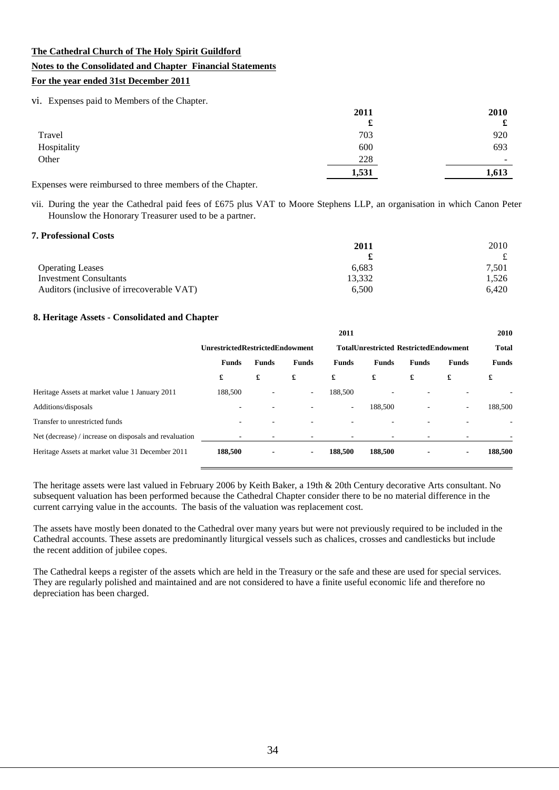#### **Notes to the Consolidated and Chapter Financial Statements**

#### **For the year ended 31st December 2011**

vi. Expenses paid to Members of the Chapter.

|             | 2011  | 2010                     |
|-------------|-------|--------------------------|
|             | £     | £                        |
| Travel      | 703   | 920                      |
| Hospitality | 600   | 693                      |
| Other       | 228   | $\overline{\phantom{0}}$ |
|             | 1,531 | 1,613                    |
|             |       |                          |

Expenses were reimbursed to three members of the Chapter.

vii. During the year the Cathedral paid fees of £675 plus VAT to Moore Stephens LLP, an organisation in which Canon Peter Hounslow the Honorary Treasurer used to be a partner.

#### **7. Professional Costs**

|                                           | 2011   | 2010  |
|-------------------------------------------|--------|-------|
|                                           |        | £     |
| <b>Operating Leases</b>                   | 6.683  | 7,501 |
| Investment Consultants                    | 13.332 | 1.526 |
| Auditors (inclusive of irrecoverable VAT) | 6.500  | 6.420 |

#### **8. Heritage Assets - Consolidated and Chapter**

|                                                        |                                        |              |                          | 2011                                         |              |                          |                          | 2010         |  |
|--------------------------------------------------------|----------------------------------------|--------------|--------------------------|----------------------------------------------|--------------|--------------------------|--------------------------|--------------|--|
|                                                        | <b>UnrestrictedRestrictedEndowment</b> |              |                          | <b>TotalUnrestricted RestrictedEndowment</b> |              |                          |                          | <b>Total</b> |  |
|                                                        | <b>Funds</b>                           | <b>Funds</b> | <b>Funds</b>             | <b>Funds</b>                                 | <b>Funds</b> | <b>Funds</b>             | <b>Funds</b>             | <b>Funds</b> |  |
|                                                        | £                                      | £            | £                        | £                                            | £            | £                        | £                        | £            |  |
| Heritage Assets at market value 1 January 2011         | 188,500                                | ۰            | $\overline{\phantom{a}}$ | 188,500                                      |              |                          |                          |              |  |
| Additions/disposals                                    | ٠.                                     | ۰            |                          | $\overline{\phantom{a}}$                     | 188,500      | $\overline{\phantom{a}}$ | $\sim$                   | 188,500      |  |
| Transfer to unrestricted funds                         | ۰                                      |              |                          |                                              |              |                          | ۰                        |              |  |
| Net (decrease) / increase on disposals and revaluation | ۰.                                     |              | ۰                        |                                              |              | ۰                        | $\overline{\phantom{a}}$ |              |  |
| Heritage Assets at market value 31 December 2011       | 188,500                                | ۰            | $\blacksquare$           | 188.500                                      | 188,500      | $\blacksquare$           | $\blacksquare$           | 188,500      |  |

The heritage assets were last valued in February 2006 by Keith Baker, a 19th & 20th Century decorative Arts consultant. No subsequent valuation has been performed because the Cathedral Chapter consider there to be no material difference in the current carrying value in the accounts. The basis of the valuation was replacement cost.

The assets have mostly been donated to the Cathedral over many years but were not previously required to be included in the Cathedral accounts. These assets are predominantly liturgical vessels such as chalices, crosses and candlesticks but include the recent addition of jubilee copes.

The Cathedral keeps a register of the assets which are held in the Treasury or the safe and these are used for special services. They are regularly polished and maintained and are not considered to have a finite useful economic life and therefore no depreciation has been charged.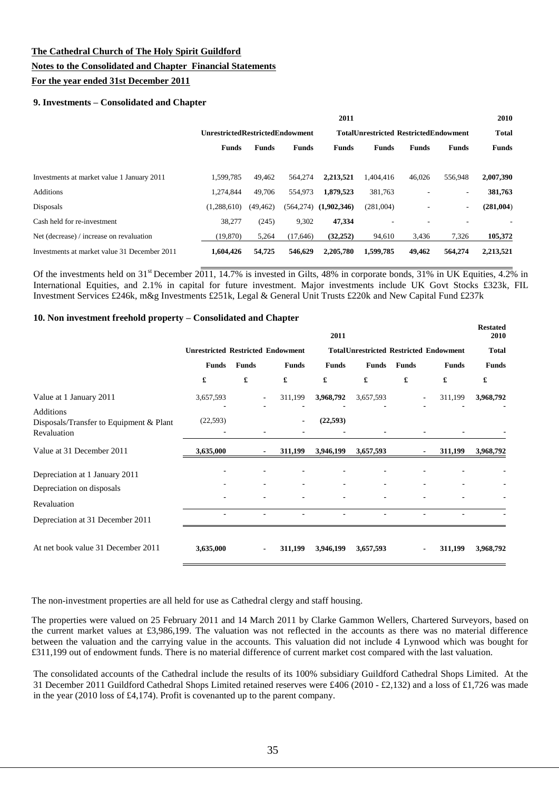#### **Notes to the Consolidated and Chapter Financial Statements**

#### **For the year ended 31st December 2011**

#### **9. Investments – Consolidated and Chapter**

|                                              |              |                                        |              | 2011         |                                              |              |                          | 2010         |
|----------------------------------------------|--------------|----------------------------------------|--------------|--------------|----------------------------------------------|--------------|--------------------------|--------------|
|                                              |              | <b>UnrestrictedRestrictedEndowment</b> |              |              | <b>TotalUnrestricted RestrictedEndowment</b> |              |                          |              |
|                                              | <b>Funds</b> | <b>Funds</b>                           | <b>Funds</b> | <b>Funds</b> | <b>Funds</b>                                 | <b>Funds</b> | <b>Funds</b>             | <b>Funds</b> |
|                                              |              |                                        |              |              |                                              |              |                          |              |
| Investments at market value 1 January 2011   | 1.599.785    | 49.462                                 | 564,274      | 2.213.521    | 1,404,416                                    | 46,026       | 556,948                  | 2,007,390    |
| <b>Additions</b>                             | 1.274.844    | 49,706                                 | 554,973      | 1,879,523    | 381,763                                      |              | $\overline{\phantom{a}}$ | 381,763      |
| Disposals                                    | (1.288.610)  | (49, 462)                              | (564, 274)   | (1,902,346)  | (281,004)                                    |              | ٠                        | (281,004)    |
| Cash held for re-investment                  | 38,277       | (245)                                  | 9,302        | 47.334       |                                              |              |                          |              |
| Net (decrease) / increase on revaluation     | (19, 870)    | 5,264                                  | (17,646)     | (32, 252)    | 94,610                                       | 3,436        | 7,326                    | 105,372      |
| Investments at market value 31 December 2011 | 1,604,426    | 54,725                                 | 546,629      | 2,205,780    | 1,599,785                                    | 49,462       | 564,274                  | 2,213,521    |

Of the investments held on  $31^{st}$  December  $2011$ , 14.7% is invested in Gilts, 48% in corporate bonds, 31% in UK Equities, 4.2% in International Equities, and 2.1% in capital for future investment. Major investments include UK Govt Stocks £323k, FIL Investment Services £246k, m&g Investments £251k, Legal & General Unit Trusts £220k and New Capital Fund £237k

#### **10. Non investment freehold property – Consolidated and Chapter**

|                                                                            |                                          |                      |                              |                      | 2011         |                      |              |                                               | <b>Restated</b><br>2010 |
|----------------------------------------------------------------------------|------------------------------------------|----------------------|------------------------------|----------------------|--------------|----------------------|--------------|-----------------------------------------------|-------------------------|
|                                                                            | <b>Unrestricted Restricted Endowment</b> |                      |                              |                      |              |                      |              | <b>TotalUnrestricted Restricted Endowment</b> | <b>Total</b>            |
|                                                                            | <b>Funds</b>                             | <b>Funds</b>         |                              | <b>Funds</b>         | <b>Funds</b> | <b>Funds</b>         | <b>Funds</b> | <b>Funds</b>                                  | <b>Funds</b>            |
|                                                                            | £                                        | $\pmb{\mathfrak{L}}$ |                              | $\pmb{\mathfrak{L}}$ | £            | $\pmb{\mathfrak{L}}$ | £            | £                                             | £                       |
| Value at 1 January 2011                                                    | 3,657,593                                |                      |                              | 311,199              | 3,968,792    | 3,657,593            |              | 311,199                                       | 3,968,792               |
| <b>Additions</b><br>Disposals/Transfer to Equipment & Plant<br>Revaluation | (22, 593)                                |                      |                              |                      | (22, 593)    |                      |              |                                               |                         |
| Value at 31 December 2011                                                  | 3,635,000                                |                      | $\blacksquare$               | 311,199              | 3,946,199    | 3,657,593            |              | 311,199<br>$\blacksquare$                     | 3,968,792               |
| Depreciation at 1 January 2011<br>Depreciation on disposals                |                                          |                      | $\blacksquare$               |                      |              | $\blacksquare$       |              |                                               |                         |
| Revaluation                                                                |                                          |                      | $\qquad \qquad \blacksquare$ |                      |              | $\blacksquare$       |              |                                               |                         |
| Depreciation at 31 December 2011                                           |                                          |                      |                              |                      |              |                      |              |                                               |                         |
| At net book value 31 December 2011                                         | 3,635,000                                |                      | $\blacksquare$               | 311,199              | 3,946,199    | 3,657,593            |              | 311,199                                       | 3,968,792               |

The non-investment properties are all held for use as Cathedral clergy and staff housing.

The properties were valued on 25 February 2011 and 14 March 2011 by Clarke Gammon Wellers, Chartered Surveyors, based on the current market values at £3,986,199. The valuation was not reflected in the accounts as there was no material difference between the valuation and the carrying value in the accounts. This valuation did not include 4 Lynwood which was bought for £311,199 out of endowment funds. There is no material difference of current market cost compared with the last valuation.

The consolidated accounts of the Cathedral include the results of its 100% subsidiary Guildford Cathedral Shops Limited. At the 31 December 2011 Guildford Cathedral Shops Limited retained reserves were £406 (2010 - £2,132) and a loss of £1,726 was made in the year (2010 loss of £4,174). Profit is covenanted up to the parent company.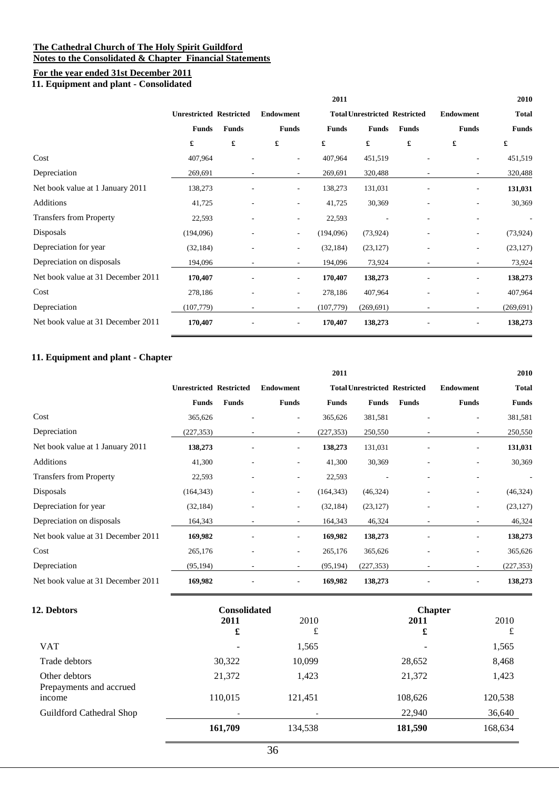#### **The Cathedral Church of The Holy Spirit Guildford Notes to the Consolidated & Chapter Financial Statements**

### **For the year ended 31st December 2011**

**11. Equipment and plant - Consolidated**

|                                    |                                |                          |                          | 2011         |                                      |              |                          | 2010         |  |
|------------------------------------|--------------------------------|--------------------------|--------------------------|--------------|--------------------------------------|--------------|--------------------------|--------------|--|
|                                    | <b>Unrestricted Restricted</b> |                          | <b>Endowment</b>         |              | <b>Total Unrestricted Restricted</b> |              | <b>Endowment</b>         | <b>Total</b> |  |
|                                    | <b>Funds</b>                   | <b>Funds</b>             | <b>Funds</b>             | <b>Funds</b> | <b>Funds</b>                         | <b>Funds</b> | <b>Funds</b>             | <b>Funds</b> |  |
|                                    | £                              | $\pmb{\mathfrak{L}}$     | $\pmb{\mathfrak{L}}$     | £            | £                                    | £            | £                        | £            |  |
| Cost                               | 407,964                        |                          | ٠                        | 407,964      | 451,519                              |              | $\sim$                   | 451,519      |  |
| Depreciation                       | 269,691                        | $\overline{\phantom{a}}$ | $\sim$                   | 269,691      | 320,488                              |              | $\sim$                   | 320,488      |  |
| Net book value at 1 January 2011   | 138,273                        |                          | $\overline{\phantom{a}}$ | 138,273      | 131,031                              |              | $\overline{\phantom{a}}$ | 131,031      |  |
| Additions                          | 41,725                         |                          | $\overline{\phantom{a}}$ | 41,725       | 30,369                               |              |                          | 30,369       |  |
| <b>Transfers from Property</b>     | 22,593                         | ٠                        | $\overline{\phantom{a}}$ | 22,593       |                                      |              | $\overline{a}$           |              |  |
| Disposals                          | (194,096)                      |                          | $\overline{\phantom{a}}$ | (194,096)    | (73, 924)                            |              | $\sim$                   | (73, 924)    |  |
| Depreciation for year              | (32, 184)                      |                          | $\overline{\phantom{a}}$ | (32, 184)    | (23, 127)                            |              | ٠                        | (23, 127)    |  |
| Depreciation on disposals          | 194,096                        | $\overline{\phantom{a}}$ | $\overline{\phantom{a}}$ | 194,096      | 73,924                               | ٠            | $\sim$                   | 73,924       |  |
| Net book value at 31 December 2011 | 170,407                        |                          | $\sim$                   | 170,407      | 138,273                              |              | $\overline{\phantom{a}}$ | 138,273      |  |
| Cost                               | 278,186                        |                          | $\overline{\phantom{a}}$ | 278,186      | 407,964                              |              | $\overline{a}$           | 407,964      |  |
| Depreciation                       | (107, 779)                     |                          | $\overline{\phantom{a}}$ | (107, 779)   | (269, 691)                           |              | $\sim$                   | (269, 691)   |  |
| Net book value at 31 December 2011 | 170,407                        |                          | $\overline{\phantom{a}}$ | 170,407      | 138,273                              |              | $\overline{a}$           | 138,273      |  |

### **11. Equipment and plant - Chapter**

|                                    |                                |                          |                          | 2011         |                                      |              |                          | 2010         |
|------------------------------------|--------------------------------|--------------------------|--------------------------|--------------|--------------------------------------|--------------|--------------------------|--------------|
|                                    | <b>Unrestricted Restricted</b> |                          | <b>Endowment</b>         |              | <b>Total Unrestricted Restricted</b> |              | <b>Endowment</b>         | <b>Total</b> |
|                                    | <b>Funds</b>                   | <b>Funds</b>             | <b>Funds</b>             | <b>Funds</b> | <b>Funds</b>                         | <b>Funds</b> | <b>Funds</b>             | <b>Funds</b> |
| Cost                               | 365,626                        |                          | $\sim$                   | 365,626      | 381,581                              |              | ۰.                       | 381,581      |
| Depreciation                       | (227, 353)                     | ۰.                       | $\sim$                   | (227, 353)   | 250,550                              | ۰            | $\sim$                   | 250,550      |
| Net book value at 1 January 2011   | 138,273                        | ٠                        | $\sim$                   | 138,273      | 131,031                              |              | $\overline{\phantom{a}}$ | 131,031      |
| <b>Additions</b>                   | 41,300                         | ٠                        | $\overline{\phantom{a}}$ | 41,300       | 30,369                               |              | $\overline{\phantom{a}}$ | 30,369       |
| <b>Transfers from Property</b>     | 22,593                         | ٠                        | $\overline{\phantom{a}}$ | 22,593       |                                      |              | ٠                        |              |
| Disposals                          | (164, 343)                     |                          | $\sim$                   | (164, 343)   | (46, 324)                            |              | $\overline{\phantom{a}}$ | (46,324)     |
| Depreciation for year              | (32, 184)                      | ٠                        | $\overline{\phantom{a}}$ | (32, 184)    | (23, 127)                            |              | ۰.                       | (23, 127)    |
| Depreciation on disposals          | 164,343                        | $\overline{\phantom{a}}$ | $\sim$                   | 164,343      | 46,324                               |              | $\overline{\phantom{a}}$ | 46,324       |
| Net book value at 31 December 2011 | 169,982                        | ٠                        | $\sim$                   | 169,982      | 138,273                              |              | $\overline{\phantom{a}}$ | 138,273      |
| Cost                               | 265,176                        |                          | $\overline{\phantom{a}}$ | 265,176      | 365,626                              |              | ۰.                       | 365,626      |
| Depreciation                       | (95, 194)                      |                          | $\sim$                   | (95, 194)    | (227, 353)                           |              | $\overline{\phantom{a}}$ | (227, 353)   |
| Net book value at 31 December 2011 | 169,982                        |                          | $\overline{\phantom{a}}$ | 169,982      | 138,273                              |              |                          | 138,273      |

| <b>12. Debtors</b>                       | <b>Consolidated</b>      |         | <b>Chapter</b> |         |  |  |
|------------------------------------------|--------------------------|---------|----------------|---------|--|--|
|                                          | 2011                     | 2010    | 2011           | 2010    |  |  |
|                                          | £                        | £       | £              | £       |  |  |
| <b>VAT</b>                               | $\overline{\phantom{0}}$ | 1,565   |                | 1,565   |  |  |
| Trade debtors                            | 30,322                   | 10,099  | 28,652         | 8,468   |  |  |
| Other debtors<br>Prepayments and accrued | 21,372                   | 1,423   | 21,372         | 1,423   |  |  |
| income                                   | 110,015                  | 121,451 | 108,626        | 120,538 |  |  |
| Guildford Cathedral Shop                 |                          |         | 22,940         | 36,640  |  |  |
|                                          | 161,709                  | 134,538 | 181,590        | 168,634 |  |  |
|                                          |                          |         |                |         |  |  |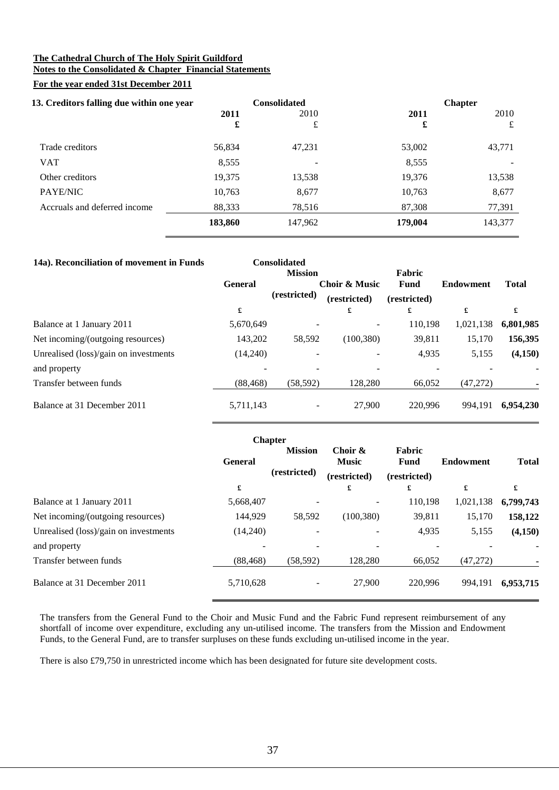#### **The Cathedral Church of The Holy Spirit Guildford Notes to the Consolidated & Chapter Financial Statements**

### **For the year ended 31st December 2011**

| 13. Creditors falling due within one year |         | <b>Consolidated</b> | <b>Chapter</b> |         |  |  |
|-------------------------------------------|---------|---------------------|----------------|---------|--|--|
|                                           | 2011    | 2010                | 2011           | 2010    |  |  |
|                                           | £       | £                   | £              | £       |  |  |
| Trade creditors                           | 56,834  | 47,231              | 53,002         | 43,771  |  |  |
| <b>VAT</b>                                | 8,555   |                     | 8,555          |         |  |  |
| Other creditors                           | 19,375  | 13,538              | 19.376         | 13,538  |  |  |
| PAYE/NIC                                  | 10,763  | 8,677               | 10,763         | 8,677   |  |  |
| Accruals and deferred income              | 88,333  | 78,516              | 87,308         | 77,391  |  |  |
|                                           | 183,860 | 147,962             | 179,004        | 143,377 |  |  |

| 14a). Reconciliation of movement in Funds |                | <b>Consolidated</b><br><b>Mission</b> |                               | Fabric               |                  |              |
|-------------------------------------------|----------------|---------------------------------------|-------------------------------|----------------------|------------------|--------------|
|                                           | <b>General</b> | (restricted)                          | Choir & Music<br>(restricted) | Fund<br>(restricted) | <b>Endowment</b> | <b>Total</b> |
|                                           | £              |                                       | £                             | £                    | £                | £            |
| Balance at 1 January 2011                 | 5,670,649      |                                       |                               | 110,198              | 1,021,138        | 6,801,985    |
| Net incoming/(outgoing resources)         | 143,202        | 58,592                                | (100, 380)                    | 39,811               | 15,170           | 156,395      |
| Unrealised (loss)/gain on investments     | (14,240)       |                                       |                               | 4,935                | 5,155            | (4,150)      |
| and property                              |                |                                       |                               |                      |                  |              |
| Transfer between funds                    | (88, 468)      | (58, 592)                             | 128,280                       | 66.052               | (47,272)         |              |
| Balance at 31 December 2011               | 5,711,143      |                                       | 27,900                        | 220.996              | 994.191          | 6.954.230    |

|                                       |                                                  | <b>Chapter</b> |                                         |                                       |                  |              |  |
|---------------------------------------|--------------------------------------------------|----------------|-----------------------------------------|---------------------------------------|------------------|--------------|--|
|                                       | <b>Mission</b><br><b>General</b><br>(restricted) |                | Choir &<br><b>Music</b><br>(restricted) | Fabric<br><b>Fund</b><br>(restricted) | <b>Endowment</b> | <b>Total</b> |  |
|                                       | £                                                |                | £                                       | £                                     | £                | £            |  |
| Balance at 1 January 2011             | 5,668,407                                        |                |                                         | 110,198                               | 1,021,138        | 6,799,743    |  |
| Net incoming/(outgoing resources)     | 144,929                                          | 58,592         | (100, 380)                              | 39,811                                | 15,170           | 158,122      |  |
| Unrealised (loss)/gain on investments | (14,240)                                         |                |                                         | 4,935                                 | 5,155            | (4,150)      |  |
| and property                          |                                                  |                |                                         |                                       |                  |              |  |
| Transfer between funds                | (88, 468)                                        | (58, 592)      | 128,280                                 | 66,052                                | (47,272)         |              |  |
| Balance at 31 December 2011           | 5,710,628                                        |                | 27,900                                  | 220.996                               | 994,191          | 6,953,715    |  |

The transfers from the General Fund to the Choir and Music Fund and the Fabric Fund represent reimbursement of any shortfall of income over expenditure, excluding any un-utilised income. The transfers from the Mission and Endowment Funds, to the General Fund, are to transfer surpluses on these funds excluding un-utilised income in the year.

There is also £79,750 in unrestricted income which has been designated for future site development costs.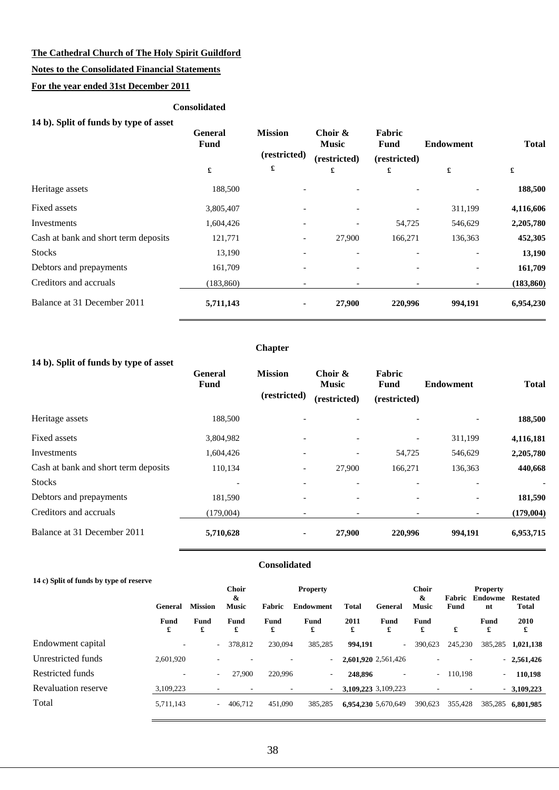### **Notes to the Consolidated Financial Statements**

### **For the year ended 31st December 2011**

#### **Consolidated**

|  | 14 b). Split of funds by type of asset |  |  |
|--|----------------------------------------|--|--|
|  |                                        |  |  |

|                                      | General<br><b>Fund</b> | <b>Mission</b><br>(restricted) | Choir $\&$<br><b>Music</b><br>(restricted) | Fabric<br>Fund<br>(restricted) | <b>Endowment</b>     | <b>Total</b> |  |
|--------------------------------------|------------------------|--------------------------------|--------------------------------------------|--------------------------------|----------------------|--------------|--|
|                                      | £                      | £                              | £                                          | £                              | $\pmb{\mathfrak{L}}$ | £            |  |
| Heritage assets                      | 188,500                |                                |                                            |                                |                      | 188,500      |  |
| Fixed assets                         | 3,805,407              |                                |                                            |                                | 311,199              | 4,116,606    |  |
| Investments                          | 1,604,426              |                                |                                            | 54,725                         | 546,629              | 2,205,780    |  |
| Cash at bank and short term deposits | 121,771                | $\overline{\phantom{a}}$       | 27,900                                     | 166,271                        | 136,363              | 452,305      |  |
| <b>Stocks</b>                        | 13,190                 |                                |                                            |                                |                      | 13,190       |  |
| Debtors and prepayments              | 161,709                |                                |                                            |                                |                      | 161,709      |  |
| Creditors and accruals               | (183, 860)             |                                |                                            |                                |                      | (183, 860)   |  |
| Balance at 31 December 2011          | 5,711,143              | ۰                              | 27,900                                     | 220,996                        | 994,191              | 6,954,230    |  |

### **14 b). Split of funds by type of asset**

|                                      | <b>General</b><br><b>Fund</b> | <b>Mission</b><br>(restricted) | Choir &<br><b>Music</b>  | <b>Fabric</b><br>Fund    | <b>Endowment</b> | <b>Total</b>    |
|--------------------------------------|-------------------------------|--------------------------------|--------------------------|--------------------------|------------------|-----------------|
|                                      |                               |                                | (restricted)             | (restricted)             |                  |                 |
| Heritage assets                      | 188,500                       |                                | $\overline{\phantom{a}}$ |                          |                  | 188,500         |
| Fixed assets                         | 3,804,982                     |                                | $\overline{\phantom{a}}$ | $\overline{\phantom{a}}$ | 311,199          | 4,116,181       |
| Investments                          | 1,604,426                     |                                | $\overline{\phantom{a}}$ | 54,725                   | 546,629          | 2,205,780       |
| Cash at bank and short term deposits | 110,134                       | -                              | 27,900                   | 166,271                  | 136,363          | 440,668         |
| <b>Stocks</b>                        |                               |                                | $\overline{\phantom{0}}$ |                          |                  | $\qquad \qquad$ |
| Debtors and prepayments              | 181,590                       |                                | $\overline{\phantom{a}}$ |                          |                  | 181,590         |
| Creditors and accruals               | (179,004)                     |                                | $\overline{\phantom{a}}$ |                          |                  | (179,004)       |
| Balance at 31 December 2011          | 5,710,628                     | ۰.                             | 27,900                   | 220,996                  | 994,191          | 6,953,715       |

**Chapter**

### **Consolidated**

| 14 c) Split of funds by type of reserve |                  |                |                   |               |                  |           |                          |                                       |                       |                          |                                 |
|-----------------------------------------|------------------|----------------|-------------------|---------------|------------------|-----------|--------------------------|---------------------------------------|-----------------------|--------------------------|---------------------------------|
|                                         |                  |                | <b>Choir</b>      |               | <b>Property</b>  |           |                          | <b>Choir</b>                          |                       | <b>Property</b>          |                                 |
|                                         | <b>General</b>   | <b>Mission</b> | &<br><b>Music</b> | <b>Fabric</b> | <b>Endowment</b> | Total     | General                  | $\boldsymbol{\alpha}$<br><b>Music</b> | Fabric<br><b>Fund</b> | <b>Endowme</b><br>nt     | <b>Restated</b><br><b>Total</b> |
|                                         | <b>Fund</b><br>£ | Fund<br>£      | <b>Fund</b><br>£  | Fund<br>£     | Fund<br>£        | 2011<br>£ | Fund<br>£                | Fund<br>£                             | £                     | Fund<br>£                | 2010<br>£                       |
| Endowment capital                       | ٠                | $\sim$         | 378,812           | 230,094       | 385,285          | 994.191   | $\overline{\phantom{a}}$ | 390,623                               | 245,230               | 385,285                  | 1,021,138                       |
| Unrestricted funds                      | 2.601.920        |                |                   |               | ٠                |           | 2,601,920 2,561,426      |                                       |                       |                          | $-2,561,426$                    |
| Restricted funds                        | ٠                | $\sim$         | 27.900            | 220,996       | $\sim$           | 248,896   | $\overline{\phantom{a}}$ | $\sim$                                | 110.198               | $\overline{\phantom{0}}$ | 110,198                         |
| <b>Revaluation reserve</b>              | 3,109,223        |                |                   |               | ٠                |           | 3,109,223 3,109,223      |                                       |                       |                          | $-3,109,223$                    |
| Total                                   | 5,711,143        | ۰              | 406.712           | 451,090       | 385,285          |           | 6.954.230 5.670.649      | 390,623                               | 355,428               | 385,285                  | 6.801.985                       |